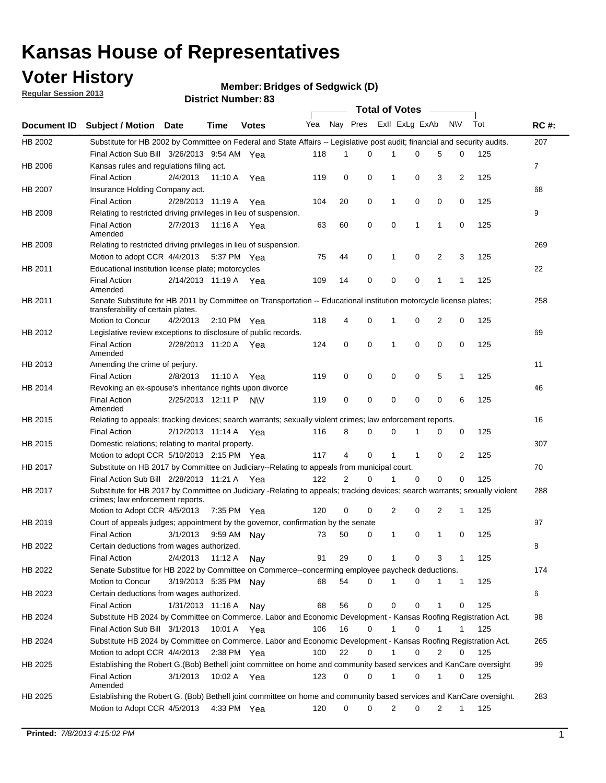## **Voter History**

**Member: Bridges of Sedgwick (D)** 

**Regular Session 2013**

|             |                                                                                                                                                                |                       |                       | <b>DISTRICT NUMBER: 05</b> |     |          |             | Total of Votes – |             |              |                |     |                |
|-------------|----------------------------------------------------------------------------------------------------------------------------------------------------------------|-----------------------|-----------------------|----------------------------|-----|----------|-------------|------------------|-------------|--------------|----------------|-----|----------------|
| Document ID | <b>Subject / Motion</b>                                                                                                                                        | <b>Date</b>           | Time                  | <b>Votes</b>               | Yea | Nay Pres |             | Exll ExLg ExAb   |             |              | N\V            | Tot | <b>RC#:</b>    |
| HB 2002     | Substitute for HB 2002 by Committee on Federal and State Affairs -- Legislative post audit; financial and security audits.                                     |                       |                       |                            |     |          |             |                  |             |              |                |     | 207            |
|             | Final Action Sub Bill 3/26/2013 9:54 AM Yea                                                                                                                    |                       |                       |                            | 118 | 1        | 0           |                  | 0           | 5            | 0              | 125 |                |
| HB 2006     | Kansas rules and regulations filing act.                                                                                                                       |                       |                       |                            |     |          |             |                  |             |              |                |     | $\overline{7}$ |
|             | <b>Final Action</b>                                                                                                                                            | 2/4/2013              | 11:10 A               | Yea                        | 119 | 0        | 0           | 1                | 0           | 3            | $\overline{2}$ | 125 |                |
| HB 2007     | Insurance Holding Company act.                                                                                                                                 |                       |                       |                            |     |          |             |                  |             |              |                |     | 68             |
|             | <b>Final Action</b>                                                                                                                                            | 2/28/2013 11:19 A     |                       | Yea                        | 104 | 20       | 0           | 1                | 0           | 0            | 0              | 125 |                |
| HB 2009     | Relating to restricted driving privileges in lieu of suspension.                                                                                               |                       |                       |                            |     |          |             |                  |             |              |                |     | 9              |
|             | <b>Final Action</b><br>Amended                                                                                                                                 | 2/7/2013              |                       | 11:16 A Yea                | 63  | 60       | 0           | 0                | 1           | 1            | 0              | 125 |                |
| HB 2009     | Relating to restricted driving privileges in lieu of suspension.                                                                                               |                       |                       |                            |     |          |             |                  |             |              |                |     | 269            |
|             | Motion to adopt CCR 4/4/2013                                                                                                                                   |                       | 5:37 PM Yea           |                            | 75  | 44       | 0           | 1                | 0           | 2            | 3              | 125 |                |
| HB 2011     | Educational institution license plate; motorcycles                                                                                                             |                       |                       |                            |     |          |             |                  |             |              |                |     | 22             |
|             | <b>Final Action</b><br>Amended                                                                                                                                 | 2/14/2013 11:19 A     |                       | Yea                        | 109 | 14       | 0           | 0                | 0           | 1            | 1              | 125 |                |
| HB 2011     | Senate Substitute for HB 2011 by Committee on Transportation -- Educational institution motorcycle license plates;<br>transferability of certain plates.       |                       |                       |                            |     |          |             |                  |             |              |                |     | 258            |
|             | Motion to Concur                                                                                                                                               | 4/2/2013              | $2:10 \text{ PM}$ Yea |                            | 118 | 4        | 0           | 1                | 0           | 2            | 0              | 125 |                |
| HB 2012     | Legislative review exceptions to disclosure of public records.                                                                                                 |                       |                       |                            |     |          |             |                  |             |              |                |     | 69             |
|             | <b>Final Action</b><br>Amended                                                                                                                                 | 2/28/2013 11:20 A Yea |                       |                            | 124 | 0        | 0           | 1                | 0           | 0            | 0              | 125 |                |
| HB 2013     | Amending the crime of perjury.                                                                                                                                 |                       |                       |                            |     |          |             |                  |             |              |                |     | 11             |
|             | <b>Final Action</b>                                                                                                                                            | 2/8/2013              | 11:10 A               | Yea                        | 119 | 0        | 0           | 0                | 0           | 5            | 1              | 125 |                |
| HB 2014     | Revoking an ex-spouse's inheritance rights upon divorce                                                                                                        |                       |                       |                            |     |          |             |                  |             |              |                |     | 46             |
|             | <b>Final Action</b><br>Amended                                                                                                                                 | 2/25/2013 12:11 P     |                       | <b>NV</b>                  | 119 | 0        | $\mathbf 0$ | 0                | 0           | 0            | 6              | 125 |                |
| HB 2015     | Relating to appeals; tracking devices; search warrants; sexually violent crimes; law enforcement reports.                                                      |                       |                       |                            |     |          |             |                  |             |              |                |     | 16             |
|             | <b>Final Action</b>                                                                                                                                            | 2/12/2013 11:14 A     |                       | Yea                        | 116 | 8        | 0           | 0                | 1           | 0            | 0              | 125 |                |
| HB 2015     | Domestic relations; relating to marital property.                                                                                                              |                       |                       |                            |     |          |             |                  |             |              |                |     | 307            |
|             | Motion to adopt CCR 5/10/2013 2:15 PM Yea                                                                                                                      |                       |                       |                            | 117 | 4        | 0           | $\mathbf 1$      | $\mathbf 1$ | 0            | 2              | 125 |                |
| HB 2017     | Substitute on HB 2017 by Committee on Judiciary--Relating to appeals from municipal court.                                                                     |                       |                       |                            |     |          |             |                  |             |              |                |     | 70             |
|             | Final Action Sub Bill 2/28/2013 11:21 A Yea                                                                                                                    |                       |                       |                            | 122 | 2        | $\Omega$    | 1                | 0           | 0            | 0              | 125 |                |
| HB 2017     | Substitute for HB 2017 by Committee on Judiciary -Relating to appeals; tracking devices; search warrants; sexually violent<br>crimes; law enforcement reports. |                       |                       |                            |     |          |             |                  |             |              |                |     | 288            |
|             | Motion to Adopt CCR 4/5/2013                                                                                                                                   |                       | 7:35 PM Yea           |                            | 120 | 0        | 0           | 2                | 0           | 2            | 1              | 125 |                |
| HB 2019     | Court of appeals judges; appointment by the governor, confirmation by the senate                                                                               |                       |                       |                            |     |          |             |                  |             |              |                |     | 97             |
|             | <b>Final Action</b>                                                                                                                                            | 3/1/2013              |                       | 9:59 AM Nay                | 73  | 50       | 0           | 1                | 0           | $\mathbf{1}$ | 0              | 125 |                |
| HB 2022     | Certain deductions from wages authorized.                                                                                                                      |                       |                       |                            |     |          |             |                  |             |              |                |     | В              |
|             | Final Action                                                                                                                                                   | 2/4/2013              | 11:12 A               | Nay                        | 91  | 29       | 0           | 1                | 0           | 3            | 1              | 125 |                |
| HB 2022     | Senate Substitue for HB 2022 by Committee on Commerce--concerming employee paycheck deductions.                                                                |                       |                       |                            |     |          |             |                  |             |              |                |     | 174            |
|             | Motion to Concur                                                                                                                                               | 3/19/2013 5:35 PM     |                       | Nav                        | 68  | 54       | 0           | 1                | 0           | 1            | $\mathbf{1}$   | 125 |                |
| HB 2023     | Certain deductions from wages authorized.                                                                                                                      |                       |                       |                            |     |          |             |                  |             |              |                |     | 6              |
|             | Final Action                                                                                                                                                   | 1/31/2013 11:16 A     |                       | Nay                        | 68  | 56       | 0           | 0                | 0           | 1            | 0              | 125 |                |
| HB 2024     | Substitute HB 2024 by Committee on Commerce, Labor and Economic Development - Kansas Roofing Registration Act.                                                 |                       |                       |                            |     |          |             |                  |             |              |                |     | 98             |
|             | Final Action Sub Bill 3/1/2013                                                                                                                                 |                       | 10:01 A               | Yea                        | 106 | 16       | 0           | 1                | 0           | 1            | 1              | 125 |                |
| HB 2024     | Substitute HB 2024 by Committee on Commerce, Labor and Economic Development - Kansas Roofing Registration Act.                                                 |                       |                       |                            |     |          |             |                  |             |              |                |     | 265            |
|             | Motion to adopt CCR 4/4/2013                                                                                                                                   |                       |                       | 2:38 PM $Yea$              | 100 | 22       | 0           | 1                | 0           | 2            | 0              | 125 |                |
| HB 2025     | Establishing the Robert G.(Bob) Bethell joint committee on home and community based services and KanCare oversight                                             |                       |                       |                            |     |          |             |                  |             |              |                |     | 99             |
|             | Final Action<br>Amended                                                                                                                                        | 3/1/2013              |                       | 10:02 A Yea                | 123 | 0        | 0           | 1                | 0           | 1            | 0              | 125 |                |
| HB 2025     | Establishing the Robert G. (Bob) Bethell joint committee on home and community based services and KanCare oversight.                                           |                       |                       |                            |     |          |             |                  |             |              |                |     | 283            |
|             | Motion to Adopt CCR 4/5/2013                                                                                                                                   |                       |                       | 4:33 PM Yea                | 120 | 0        | 0           | $\overline{2}$   | 0           | 2            | $\mathbf{1}$   | 125 |                |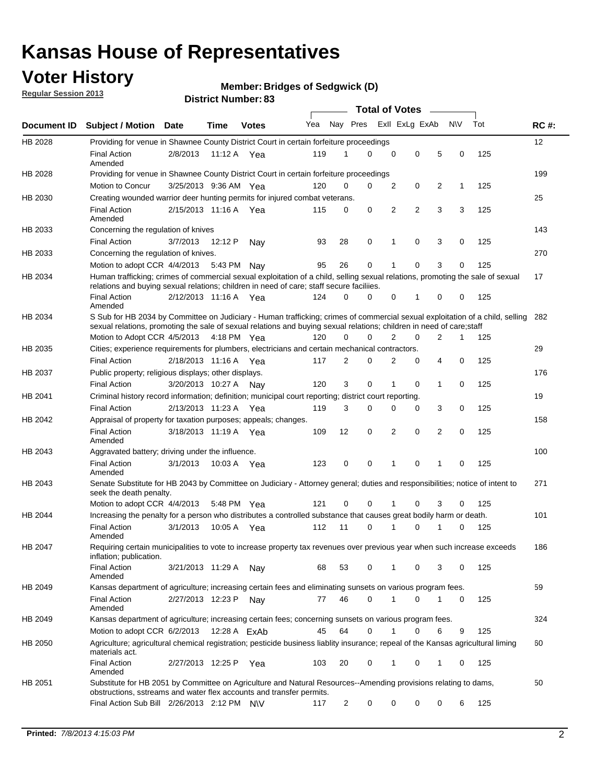## **Voter History**

**Member: Bridges of Sedgwick (D)** 

**Regular Session 2013**

|             |                                                                                                                                                                                                                                                       |                       |             |              |     |                | <b>Total of Votes</b> |   |                |                |           |     |             |
|-------------|-------------------------------------------------------------------------------------------------------------------------------------------------------------------------------------------------------------------------------------------------------|-----------------------|-------------|--------------|-----|----------------|-----------------------|---|----------------|----------------|-----------|-----|-------------|
| Document ID | <b>Subject / Motion Date</b>                                                                                                                                                                                                                          |                       | Time        | <b>Votes</b> | Yea | Nay Pres       |                       |   | Exll ExLg ExAb |                | <b>NV</b> | Tot | <b>RC#:</b> |
| HB 2028     | Providing for venue in Shawnee County District Court in certain forfeiture proceedings                                                                                                                                                                |                       |             |              |     |                |                       |   |                |                |           |     | 12          |
|             | <b>Final Action</b><br>Amended                                                                                                                                                                                                                        | 2/8/2013              | 11:12 A Yea |              | 119 | 1              | $\Omega$              | 0 | 0              | 5              | 0         | 125 |             |
| HB 2028     | Providing for venue in Shawnee County District Court in certain forfeiture proceedings                                                                                                                                                                | 3/25/2013 9:36 AM Yea |             |              | 120 | 0              | 0                     | 2 | 0              | 2              | 1         | 125 | 199         |
|             | Motion to Concur                                                                                                                                                                                                                                      |                       |             |              |     |                |                       |   |                |                |           |     |             |
| HB 2030     | Creating wounded warrior deer hunting permits for injured combat veterans.<br><b>Final Action</b>                                                                                                                                                     | 2/15/2013 11:16 A     |             | Yea          | 115 | 0              | 0                     | 2 | $\overline{2}$ | 3              | 3         | 125 | 25          |
| HB 2033     | Amended<br>Concerning the regulation of knives                                                                                                                                                                                                        |                       |             |              |     |                |                       |   |                |                |           |     | 143         |
|             | <b>Final Action</b>                                                                                                                                                                                                                                   | 3/7/2013              | 12:12 P     | Nav          | 93  | 28             | 0                     | 1 | 0              | 3              | 0         | 125 |             |
| HB 2033     | Concerning the regulation of knives.                                                                                                                                                                                                                  |                       |             |              |     |                |                       |   |                |                |           |     | 270         |
|             | Motion to adopt CCR 4/4/2013                                                                                                                                                                                                                          |                       | 5:43 PM     | Nav          | 95  | 26             | 0                     |   | 0              | 3              | 0         | 125 |             |
| HB 2034     | Human trafficking; crimes of commercial sexual exploitation of a child, selling sexual relations, promoting the sale of sexual<br>relations and buying sexual relations; children in need of care; staff secure faciliies.                            |                       |             |              |     |                |                       |   |                |                |           |     | 17          |
|             | <b>Final Action</b><br>Amended                                                                                                                                                                                                                        | 2/12/2013 11:16 A Yea |             |              | 124 | $\Omega$       | 0                     | 0 | 1              | 0              | 0         | 125 |             |
| HB 2034     | S Sub for HB 2034 by Committee on Judiciary - Human trafficking; crimes of commercial sexual exploitation of a child, selling<br>sexual relations, promoting the sale of sexual relations and buying sexual relations; children in need of care;staff |                       |             |              |     |                |                       |   |                |                |           |     | 282         |
|             | Motion to Adopt CCR 4/5/2013 4:18 PM Yea                                                                                                                                                                                                              |                       |             |              | 120 | 0              | 0                     | 2 | 0              | $\overline{2}$ | 1         | 125 |             |
| HB 2035     | Cities; experience requirements for plumbers, electricians and certain mechanical contractors.                                                                                                                                                        |                       |             |              |     |                |                       |   |                |                |           |     | 29          |
|             | <b>Final Action</b>                                                                                                                                                                                                                                   | 2/18/2013 11:16 A     |             | Yea          | 117 | 2              | 0                     | 2 | 0              | 4              | 0         | 125 |             |
| HB 2037     | Public property; religious displays; other displays.                                                                                                                                                                                                  |                       |             |              |     |                |                       |   |                |                |           |     | 176         |
|             | <b>Final Action</b>                                                                                                                                                                                                                                   | 3/20/2013 10:27 A     |             | Nav          | 120 | 3              | 0                     | 1 | 0              | 1              | 0         | 125 |             |
| HB 2041     | Criminal history record information; definition; municipal court reporting; district court reporting.                                                                                                                                                 |                       |             |              |     |                |                       |   |                |                |           |     | 19          |
|             | <b>Final Action</b>                                                                                                                                                                                                                                   | 2/13/2013 11:23 A     |             | Yea          | 119 | 3              | 0                     | 0 | 0              | 3              | 0         | 125 |             |
| HB 2042     | Appraisal of property for taxation purposes; appeals; changes.                                                                                                                                                                                        |                       |             |              |     |                |                       |   |                |                |           |     | 158         |
|             | <b>Final Action</b><br>Amended                                                                                                                                                                                                                        | 3/18/2013 11:19 A     |             | Yea          | 109 | 12             | 0                     | 2 | 0              | $\overline{2}$ | 0         | 125 |             |
| HB 2043     | Aggravated battery; driving under the influence.                                                                                                                                                                                                      |                       |             |              |     |                |                       |   |                |                |           |     | 100         |
|             | <b>Final Action</b><br>Amended                                                                                                                                                                                                                        | 3/1/2013              |             | 10:03 A Yea  | 123 | 0              | 0                     |   | 0              | 1              | 0         | 125 |             |
| HB 2043     | Senate Substitute for HB 2043 by Committee on Judiciary - Attorney general; duties and responsibilities; notice of intent to<br>seek the death penalty.                                                                                               |                       |             |              |     |                |                       |   |                |                |           |     | 271         |
|             | Motion to adopt CCR 4/4/2013                                                                                                                                                                                                                          |                       | 5:48 PM Yea |              | 121 | 0              | 0                     |   | 0              | 3              | 0         | 125 |             |
| HB 2044     | Increasing the penalty for a person who distributes a controlled substance that causes great bodily harm or death.                                                                                                                                    |                       |             |              |     |                |                       |   |                |                |           |     | 101         |
|             | <b>Final Action</b><br>Amended                                                                                                                                                                                                                        | 3/1/2013              | 10:05 A     | Yea          | 112 | 11             | 0                     |   | 0              |                | 0         | 125 |             |
| HB 2047     | Requiring certain municipalities to vote to increase property tax revenues over previous year when such increase exceeds<br>inflation; publication.                                                                                                   |                       |             |              |     |                |                       |   |                |                |           |     | 186         |
|             | <b>Final Action</b><br>Amended                                                                                                                                                                                                                        | 3/21/2013 11:29 A     |             | Nay          | 68  | 53             | 0                     |   | 0              | 3              | 0         | 125 |             |
| HB 2049     | Kansas department of agriculture; increasing certain fees and eliminating sunsets on various program fees.                                                                                                                                            |                       |             |              |     |                |                       |   |                |                |           |     | 59          |
|             | <b>Final Action</b><br>Amended                                                                                                                                                                                                                        | 2/27/2013 12:23 P     |             | Nav          | 77  | 46             | 0                     | 1 | 0              | 1              | 0         | 125 |             |
| HB 2049     | Kansas department of agriculture; increasing certain fees; concerning sunsets on various program fees.                                                                                                                                                |                       |             |              |     |                |                       |   |                |                |           |     | 324         |
|             | Motion to adopt CCR 6/2/2013                                                                                                                                                                                                                          |                       |             | 12:28 A FxAh | 45  | 64             | 0                     |   | 0              | 6              | 9         | 125 |             |
| HB 2050     | Agriculture; agricultural chemical registration; pesticide business liablity insurance; repeal of the Kansas agricultural liming<br>materials act.                                                                                                    |                       |             |              |     |                |                       |   |                |                |           |     | 60          |
|             | <b>Final Action</b><br>Amended                                                                                                                                                                                                                        | 2/27/2013 12:25 P     |             | Yea          | 103 | 20             | 0                     | 1 | 0              | 1              | 0         | 125 |             |
| HB 2051     | Substitute for HB 2051 by Committee on Agriculture and Natural Resources--Amending provisions relating to dams,<br>obstructions, sstreams and water flex accounts and transfer permits.                                                               |                       |             |              |     |                |                       |   |                |                |           |     | 50          |
|             | Final Action Sub Bill 2/26/2013 2:12 PM N\V                                                                                                                                                                                                           |                       |             |              | 117 | $\overline{c}$ | 0                     | 0 | 0              | 0              | 6         | 125 |             |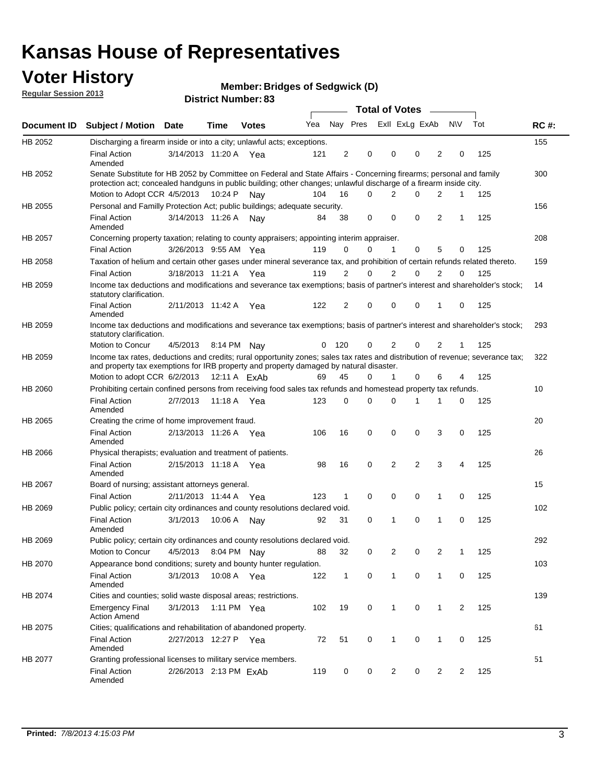## **Voter History**

**Member: Bridges of Sedgwick (D)** 

**Regular Session 2013**

|             |                                                                                                                                                                                                                                          |                        |         | טט . וסעווואדו או ווסוע |     |                |          | <b>Total of Votes</b> | $\sim$         |                |           |     |             |
|-------------|------------------------------------------------------------------------------------------------------------------------------------------------------------------------------------------------------------------------------------------|------------------------|---------|-------------------------|-----|----------------|----------|-----------------------|----------------|----------------|-----------|-----|-------------|
| Document ID | <b>Subject / Motion Date</b>                                                                                                                                                                                                             |                        | Time    | <b>Votes</b>            | Yea |                | Nay Pres |                       | Exll ExLg ExAb |                | <b>NV</b> | Tot | <b>RC#:</b> |
| HB 2052     | Discharging a firearm inside or into a city; unlawful acts; exceptions.                                                                                                                                                                  |                        |         |                         |     |                |          |                       |                |                |           |     | 155         |
|             | <b>Final Action</b><br>Amended                                                                                                                                                                                                           | 3/14/2013 11:20 A Yea  |         |                         | 121 | $\overline{2}$ | 0        | 0                     | 0              | 2              | 0         | 125 |             |
| HB 2052     | Senate Substitute for HB 2052 by Committee on Federal and State Affairs - Concerning firearms; personal and family<br>protection act; concealed handguns in public building; other changes; unlawful discharge of a firearm inside city. |                        |         |                         |     |                |          |                       |                |                |           |     | 300         |
|             | Motion to Adopt CCR 4/5/2013                                                                                                                                                                                                             |                        | 10:24 P | Nav                     | 104 | 16             | 0        | 2                     | 0              | 2              | 1         | 125 |             |
| HB 2055     | Personal and Familly Protection Act; public buildings; adequate security.                                                                                                                                                                |                        |         |                         |     |                |          |                       |                |                |           |     | 156         |
|             | <b>Final Action</b><br>Amended                                                                                                                                                                                                           | 3/14/2013 11:26 A      |         | Nav                     | 84  | 38             | 0        | 0                     | 0              | $\overline{2}$ | 1         | 125 |             |
| HB 2057     | Concerning property taxation; relating to county appraisers; appointing interim appraiser.                                                                                                                                               |                        |         |                         |     |                |          |                       |                |                |           |     | 208         |
|             | <b>Final Action</b>                                                                                                                                                                                                                      | 3/26/2013 9:55 AM Yea  |         |                         | 119 | 0              | 0        | 1                     | 0              | 5              | 0         | 125 |             |
| HB 2058     | Taxation of helium and certain other gases under mineral severance tax, and prohibition of certain refunds related thereto.                                                                                                              |                        |         |                         |     |                |          |                       |                |                |           |     | 159         |
|             | <b>Final Action</b>                                                                                                                                                                                                                      | 3/18/2013 11:21 A Yea  |         |                         | 119 | 2              | 0        | 2                     | 0              | 2              | $\Omega$  | 125 |             |
| HB 2059     | Income tax deductions and modifications and severance tax exemptions; basis of partner's interest and shareholder's stock;<br>statutory clarification.                                                                                   |                        |         |                         |     |                |          |                       |                |                |           |     | 14          |
|             | <b>Final Action</b><br>Amended                                                                                                                                                                                                           | 2/11/2013 11:42 A      |         | Yea                     | 122 | 2              | 0        | 0                     | 0              | 1              | 0         | 125 |             |
| HB 2059     | Income tax deductions and modifications and severance tax exemptions; basis of partner's interest and shareholder's stock;<br>statutory clarification.                                                                                   |                        |         |                         |     |                |          |                       |                |                |           |     | 293         |
|             | Motion to Concur                                                                                                                                                                                                                         | 4/5/2013               |         | 8:14 PM Nay             | 0   | - 120          | 0        | $\overline{2}$        | 0              | $\overline{2}$ | 1         | 125 |             |
| HB 2059     | Income tax rates, deductions and credits; rural opportunity zones; sales tax rates and distribution of revenue; severance tax;<br>and property tax exemptions for IRB property and property damaged by natural disaster.                 |                        |         |                         |     |                |          |                       |                |                |           |     | 322         |
|             | Motion to adopt CCR 6/2/2013                                                                                                                                                                                                             |                        |         | 12:11 A ExAb            | 69  | 45             | 0        | $\mathbf{1}$          | 0              | 6              | 4         | 125 |             |
| HB 2060     | Prohibiting certain confined persons from receiving food sales tax refunds and homestead property tax refunds.                                                                                                                           |                        |         |                         |     |                |          |                       |                |                |           |     | 10          |
|             | <b>Final Action</b><br>Amended                                                                                                                                                                                                           | 2/7/2013               | 11:18 A | Yea                     | 123 | $\mathbf 0$    | 0        | $\Omega$              | 1              | 1              | 0         | 125 |             |
| HB 2065     | Creating the crime of home improvement fraud.                                                                                                                                                                                            |                        |         |                         |     |                |          |                       |                |                |           |     | 20          |
|             | <b>Final Action</b><br>Amended                                                                                                                                                                                                           | 2/13/2013 11:26 A Yea  |         |                         | 106 | 16             | 0        | 0                     | 0              | 3              | 0         | 125 |             |
| HB 2066     | Physical therapists; evaluation and treatment of patients.                                                                                                                                                                               |                        |         |                         |     |                |          |                       |                |                |           |     | 26          |
|             | <b>Final Action</b><br>Amended                                                                                                                                                                                                           | 2/15/2013 11:18 A Yea  |         |                         | 98  | 16             | 0        | 2                     | $\overline{2}$ | 3              | 4         | 125 |             |
| HB 2067     | Board of nursing; assistant attorneys general.                                                                                                                                                                                           |                        |         |                         |     |                |          |                       |                |                |           |     | 15          |
|             | <b>Final Action</b>                                                                                                                                                                                                                      | 2/11/2013 11:44 A Yea  |         |                         | 123 | 1              | 0        | 0                     | 0              | 1              | 0         | 125 |             |
| HB 2069     | Public policy; certain city ordinances and county resolutions declared void.                                                                                                                                                             |                        |         |                         |     |                |          |                       |                |                |           |     | 102         |
|             | <b>Final Action</b><br>Amended                                                                                                                                                                                                           | 3/1/2013               | 10:06 A | Nav                     | 92  | 31             | $\Omega$ | 1                     | 0              | 1              | 0         | 125 |             |
| HB 2069     | Public policy; certain city ordinances and county resolutions declared void.                                                                                                                                                             |                        |         |                         |     |                |          |                       |                |                |           |     | 292         |
|             | <b>Motion to Concur</b>                                                                                                                                                                                                                  | 4/5/2013               |         | 8:04 PM Nay             | 88  | 32             | 0        | 2                     | 0              | $\overline{2}$ | 1         | 125 |             |
| HB 2070     | Appearance bond conditions; surety and bounty hunter regulation.                                                                                                                                                                         |                        |         |                         |     |                |          |                       |                |                |           |     | 103         |
|             | <b>Final Action</b><br>Amended                                                                                                                                                                                                           | 3/1/2013               |         | 10:08 A Yea             | 122 | $\mathbf{1}$   | 0        | $\mathbf{1}$          | 0              | $\mathbf{1}$   | 0         | 125 |             |
| HB 2074     | Cities and counties; solid waste disposal areas; restrictions.                                                                                                                                                                           |                        |         |                         |     |                |          |                       |                |                |           |     | 139         |
|             | <b>Emergency Final</b><br><b>Action Amend</b>                                                                                                                                                                                            | 3/1/2013               |         | 1:11 PM Yea             | 102 | 19             | 0        | 1                     | 0              | $\mathbf{1}$   | 2         | 125 |             |
| HB 2075     | Cities; qualifications and rehabilitation of abandoned property.                                                                                                                                                                         |                        |         |                         |     |                |          |                       |                |                |           |     | 61          |
|             | <b>Final Action</b><br>Amended                                                                                                                                                                                                           | 2/27/2013 12:27 P Yea  |         |                         | 72  | 51             | 0        | 1                     | 0              | 1              | 0         | 125 |             |
| HB 2077     | Granting professional licenses to military service members.                                                                                                                                                                              |                        |         |                         |     |                |          |                       |                |                |           |     | 51          |
|             | <b>Final Action</b><br>Amended                                                                                                                                                                                                           | 2/26/2013 2:13 PM ExAb |         |                         | 119 | 0              | 0        | $\overline{2}$        | 0              | 2              | 2         | 125 |             |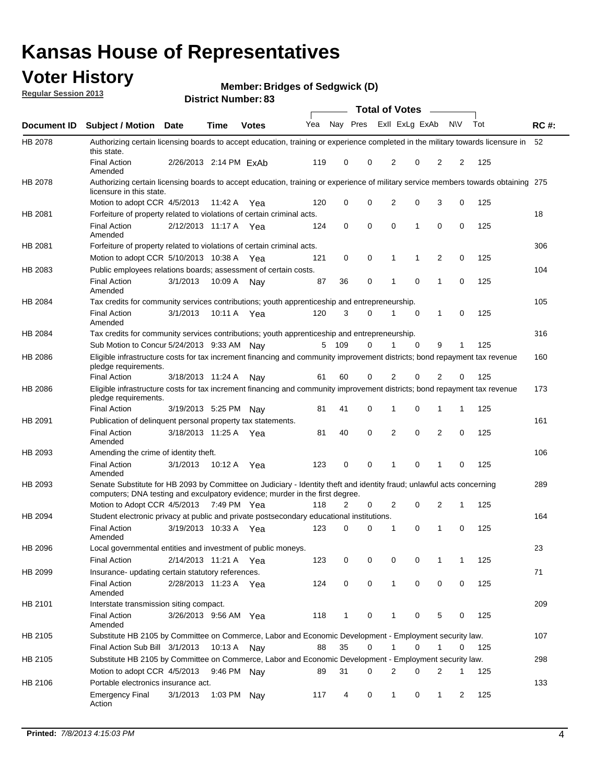## **Voter History**

**Member: Bridges of Sedgwick (D)** 

**Regular Session 2013**

|             |                                                                                                                                                                                                       |                        | טט הסעוווטנו ועוווטכו |              |     |              |             | <b>Total of Votes</b> |             | $\sim$         |           |     |             |
|-------------|-------------------------------------------------------------------------------------------------------------------------------------------------------------------------------------------------------|------------------------|-----------------------|--------------|-----|--------------|-------------|-----------------------|-------------|----------------|-----------|-----|-------------|
| Document ID | <b>Subject / Motion Date</b>                                                                                                                                                                          |                        | <b>Time</b>           | <b>Votes</b> | Yea | Nay Pres     |             | Exll ExLg ExAb        |             |                | <b>NV</b> | Tot | <b>RC#:</b> |
| HB 2078     | Authorizing certain licensing boards to accept education, training or experience completed in the military towards licensure in<br>this state.                                                        |                        |                       |              |     |              |             |                       |             |                |           |     | 52          |
|             | <b>Final Action</b><br>Amended                                                                                                                                                                        | 2/26/2013 2:14 PM FxAb |                       |              | 119 | 0            | 0           | 2                     | 0           | 2              | 2         | 125 |             |
| HB 2078     | Authorizing certain licensing boards to accept education, training or experience of military service members towards obtaining 275<br>licensure in this state.                                        |                        |                       |              |     |              |             |                       |             |                |           |     |             |
|             | Motion to adopt CCR 4/5/2013                                                                                                                                                                          |                        | 11:42 A               | Yea          | 120 | 0            | $\mathbf 0$ | $\overline{2}$        | 0           | 3              | 0         | 125 |             |
| HB 2081     | Forfeiture of property related to violations of certain criminal acts.                                                                                                                                |                        |                       |              |     |              |             |                       |             |                |           |     | 18          |
|             | <b>Final Action</b><br>Amended                                                                                                                                                                        | 2/12/2013 11:17 A Yea  |                       |              | 124 | 0            | 0           | $\Omega$              | 1           | 0              | 0         | 125 |             |
| HB 2081     | Forfeiture of property related to violations of certain criminal acts.                                                                                                                                |                        |                       |              |     |              |             |                       |             |                |           |     | 306         |
|             | Motion to adopt CCR 5/10/2013 10:38 A                                                                                                                                                                 |                        |                       | Yea          | 121 | 0            | 0           | 1                     | 1           | 2              | 0         | 125 |             |
| HB 2083     | Public employees relations boards; assessment of certain costs.                                                                                                                                       |                        |                       |              |     |              |             |                       |             |                |           |     | 104         |
|             | <b>Final Action</b><br>Amended                                                                                                                                                                        | 3/1/2013               | 10:09 A               | Nay          | 87  | 36           | 0           | 1                     | 0           | 1              | 0         | 125 |             |
| HB 2084     | Tax credits for community services contributions; youth apprenticeship and entrepreneurship.                                                                                                          |                        |                       |              |     |              |             |                       |             |                |           |     | 105         |
|             | <b>Final Action</b><br>Amended                                                                                                                                                                        | 3/1/2013               | 10:11 A               | Yea          | 120 | 3            | $\Omega$    |                       | $\mathbf 0$ | $\mathbf{1}$   | 0         | 125 |             |
| HB 2084     | Tax credits for community services contributions; youth apprenticeship and entrepreneurship.                                                                                                          |                        |                       |              |     |              |             |                       |             |                |           |     | 316         |
|             | Sub Motion to Concur 5/24/2013 9:33 AM Nav                                                                                                                                                            |                        |                       |              | 5   | - 109        | $\Omega$    | 1                     | $\Omega$    | 9              | 1         | 125 |             |
| HB 2086     | Eligible infrastructure costs for tax increment financing and community improvement districts; bond repayment tax revenue<br>pledge requirements.                                                     |                        |                       |              |     |              |             |                       |             |                |           |     | 160         |
|             | <b>Final Action</b>                                                                                                                                                                                   | 3/18/2013 11:24 A      |                       | Nay          | 61  | 60           | 0           | 2                     | 0           | 2              | 0         | 125 |             |
| HB 2086     | Eligible infrastructure costs for tax increment financing and community improvement districts; bond repayment tax revenue<br>pledge requirements.                                                     |                        |                       |              |     |              |             |                       |             |                |           |     | 173         |
|             | <b>Final Action</b>                                                                                                                                                                                   | 3/19/2013 5:25 PM      |                       | Nav          | 81  | 41           | 0           | 1                     | 0           | 1              | 1         | 125 |             |
| HB 2091     | Publication of delinquent personal property tax statements.                                                                                                                                           |                        |                       |              |     |              |             |                       |             |                |           |     | 161         |
|             | <b>Final Action</b><br>Amended                                                                                                                                                                        | 3/18/2013 11:25 A      |                       | Yea          | 81  | 40           | 0           | 2                     | 0           | $\overline{2}$ | 0         | 125 |             |
| HB 2093     | Amending the crime of identity theft.                                                                                                                                                                 |                        |                       |              |     |              |             |                       |             |                |           |     | 106         |
|             | <b>Final Action</b><br>Amended                                                                                                                                                                        | 3/1/2013               | 10:12 A               | Yea          | 123 | 0            | $\Omega$    | 1                     | 0           | 1              | 0         | 125 |             |
| HB 2093     | Senate Substitute for HB 2093 by Committee on Judiciary - Identity theft and identity fraud; unlawful acts concerning<br>computers; DNA testing and exculpatory evidence; murder in the first degree. |                        |                       |              |     |              |             |                       |             |                |           |     | 289         |
|             | Motion to Adopt CCR 4/5/2013 7:49 PM Yea                                                                                                                                                              |                        |                       |              | 118 | 2            | 0           | 2                     | 0           | 2              | 1         | 125 |             |
| HB 2094     | Student electronic privacy at public and private postsecondary educational institutions.                                                                                                              |                        |                       |              |     |              |             |                       |             |                |           |     | 164         |
|             | <b>Final Action</b><br>Amended                                                                                                                                                                        | 3/19/2013 10:33 A      |                       | Yea          | 123 | 0            | 0           | 1                     | 0           | 1              | 0         | 125 |             |
| HB 2096     | Local governmental entities and investment of public moneys.                                                                                                                                          |                        |                       |              |     |              |             |                       |             |                |           |     | 23          |
|             | <b>Final Action</b>                                                                                                                                                                                   | 2/14/2013 11:21 A      |                       | Yea          | 123 | 0            | 0           | 0                     | 0           | 1              | 1         | 125 |             |
| HB 2099     | Insurance- updating certain statutory references.                                                                                                                                                     |                        |                       |              |     |              |             |                       |             |                |           |     | 71          |
|             | <b>Final Action</b><br>Amended                                                                                                                                                                        | 2/28/2013 11:23 A      |                       | Yea          | 124 | 0            | 0           | 1                     | 0           | 0              | 0         | 125 |             |
| HB 2101     | Interstate transmission siting compact.                                                                                                                                                               |                        |                       |              |     |              |             |                       |             |                |           |     | 209         |
|             | <b>Final Action</b><br>Amended                                                                                                                                                                        | 3/26/2013 9:56 AM Yea  |                       |              | 118 | $\mathbf{1}$ | 0           | 1                     | 0           | 5              | 0         | 125 |             |
| HB 2105     | Substitute HB 2105 by Committee on Commerce, Labor and Economic Development - Employment security law.                                                                                                |                        |                       |              |     |              |             |                       |             |                |           |     | 107         |
|             | Final Action Sub Bill 3/1/2013                                                                                                                                                                        |                        | 10:13 A Nay           |              | 88  | 35           | 0           |                       | 0           | 1              | 0         | 125 |             |
| HB 2105     | Substitute HB 2105 by Committee on Commerce, Labor and Economic Development - Employment security law.                                                                                                |                        |                       |              |     |              |             |                       |             |                |           |     | 298         |
|             | Motion to adopt CCR 4/5/2013                                                                                                                                                                          |                        | 9:46 PM Nay           |              | 89  | 31           | 0           | 2                     | 0           | 2              | 1         | 125 |             |
| HB 2106     | Portable electronics insurance act.                                                                                                                                                                   |                        |                       |              |     |              |             |                       |             |                |           |     | 133         |
|             | <b>Emergency Final</b><br>Action                                                                                                                                                                      | 3/1/2013               | 1:03 PM               | Nay          | 117 | 4            | 0           | $\mathbf{1}$          | 0           | $\mathbf{1}$   | 2         | 125 |             |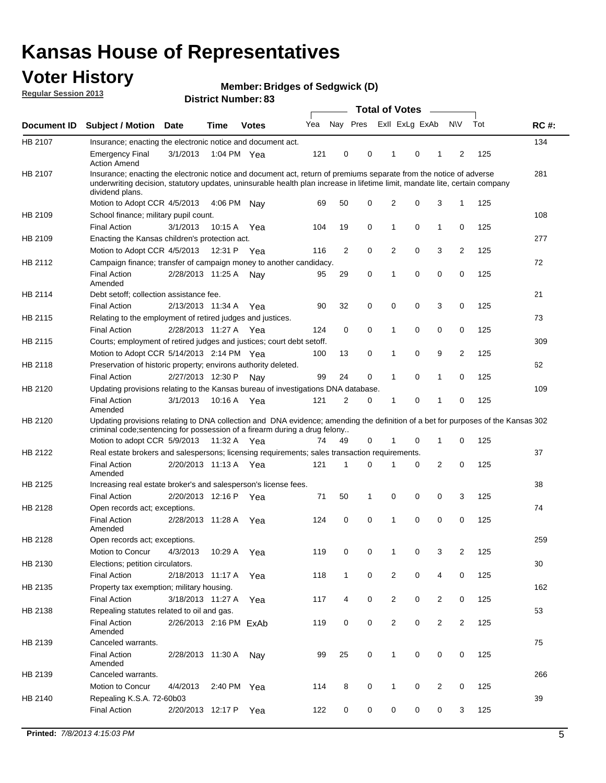## **Voter History**

**Member: Bridges of Sedgwick (D)** 

**Regular Session 2013**

|             |                                                                                                                                                                                                                                                                      |                        |             | טט וסמוווטנו ואווווטר |     |                |             | <b>Total of Votes</b> |   | $\sim$         |                |     |             |
|-------------|----------------------------------------------------------------------------------------------------------------------------------------------------------------------------------------------------------------------------------------------------------------------|------------------------|-------------|-----------------------|-----|----------------|-------------|-----------------------|---|----------------|----------------|-----|-------------|
| Document ID | <b>Subject / Motion Date</b>                                                                                                                                                                                                                                         |                        | <b>Time</b> | <b>Votes</b>          | Yea | Nay Pres       |             | Exll ExLg ExAb        |   |                | <b>NV</b>      | Tot | <b>RC#:</b> |
| HB 2107     | Insurance; enacting the electronic notice and document act.                                                                                                                                                                                                          |                        |             |                       |     |                |             |                       |   |                |                |     | 134         |
|             | <b>Emergency Final</b><br><b>Action Amend</b>                                                                                                                                                                                                                        | 3/1/2013               | 1:04 PM Yea |                       | 121 | 0              | 0           | 1                     | 0 | 1              | 2              | 125 |             |
| HB 2107     | Insurance; enacting the electronic notice and document act, return of premiums separate from the notice of adverse<br>underwriting decision, statutory updates, uninsurable health plan increase in lifetime limit, mandate lite, certain company<br>dividend plans. |                        |             |                       |     |                |             |                       |   |                |                |     | 281         |
|             | Motion to Adopt CCR 4/5/2013                                                                                                                                                                                                                                         |                        | 4:06 PM     | Nav                   | 69  | 50             | 0           | 2                     | 0 | 3              | $\mathbf{1}$   | 125 |             |
| HB 2109     | School finance; military pupil count.                                                                                                                                                                                                                                |                        |             |                       |     |                |             |                       |   |                |                |     | 108         |
|             | <b>Final Action</b>                                                                                                                                                                                                                                                  | 3/1/2013               | 10:15A      | Yea                   | 104 | 19             | 0           | 1                     | 0 | $\mathbf{1}$   | 0              | 125 |             |
| HB 2109     | Enacting the Kansas children's protection act.                                                                                                                                                                                                                       |                        |             |                       |     |                |             |                       |   |                |                |     | 277         |
|             | Motion to Adopt CCR 4/5/2013                                                                                                                                                                                                                                         |                        | 12:31 P     | Yea                   | 116 | $\overline{2}$ | 0           | 2                     | 0 | 3              | $\overline{2}$ | 125 |             |
| HB 2112     | Campaign finance; transfer of campaign money to another candidacy.                                                                                                                                                                                                   |                        |             |                       |     |                |             |                       |   |                |                |     | 72          |
|             | <b>Final Action</b><br>Amended                                                                                                                                                                                                                                       | 2/28/2013 11:25 A      |             | Nay                   | 95  | 29             | 0           | 1                     | 0 | 0              | 0              | 125 |             |
| HB 2114     | Debt setoff; collection assistance fee.                                                                                                                                                                                                                              |                        |             |                       |     |                |             |                       |   |                |                |     | 21          |
|             | <b>Final Action</b>                                                                                                                                                                                                                                                  | 2/13/2013 11:34 A      |             | Yea                   | 90  | 32             | 0           | 0                     | 0 | 3              | 0              | 125 |             |
| HB 2115     | Relating to the employment of retired judges and justices.                                                                                                                                                                                                           |                        |             |                       |     |                |             |                       |   |                |                |     | 73          |
|             | <b>Final Action</b>                                                                                                                                                                                                                                                  | 2/28/2013 11:27 A      |             | Yea                   | 124 | 0              | $\mathbf 0$ | 1                     | 0 | 0              | 0              | 125 |             |
| HB 2115     | Courts; employment of retired judges and justices; court debt setoff.                                                                                                                                                                                                |                        |             |                       |     |                |             |                       |   |                |                |     | 309         |
|             | Motion to Adopt CCR 5/14/2013 2:14 PM Yea                                                                                                                                                                                                                            |                        |             |                       | 100 | 13             | 0           | 1                     | 0 | 9              | 2              | 125 |             |
| HB 2118     | Preservation of historic property; environs authority deleted.                                                                                                                                                                                                       |                        |             |                       |     |                |             |                       |   |                |                |     | 62          |
|             | <b>Final Action</b>                                                                                                                                                                                                                                                  | 2/27/2013 12:30 P      |             | Nay                   | 99  | 24             | 0           | 1                     | 0 | $\mathbf{1}$   | 0              | 125 |             |
| HB 2120     | Updating provisions relating to the Kansas bureau of investigations DNA database.                                                                                                                                                                                    |                        |             |                       |     |                |             |                       |   |                |                |     | 109         |
|             | <b>Final Action</b><br>Amended                                                                                                                                                                                                                                       | 3/1/2013               | 10:16 A     | Yea                   | 121 | 2              | 0           | 1                     | 0 | 1              | 0              | 125 |             |
| HB 2120     | Updating provisions relating to DNA collection and DNA evidence; amending the definition of a bet for purposes of the Kansas 302<br>criminal code; sentencing for possession of a firearm during a drug felony                                                       |                        |             |                       |     |                |             |                       |   |                |                |     |             |
|             | Motion to adopt CCR 5/9/2013                                                                                                                                                                                                                                         |                        | 11:32 A Yea |                       | 74  | 49             | 0           |                       | 0 | 1              | 0              | 125 |             |
| HB 2122     | Real estate brokers and salespersons; licensing requirements; sales transaction requirements.                                                                                                                                                                        |                        |             |                       |     |                |             |                       |   |                |                |     | 37          |
|             | <b>Final Action</b><br>Amended                                                                                                                                                                                                                                       | 2/20/2013 11:13 A Yea  |             |                       | 121 | 1              | $\Omega$    |                       | 0 | 2              | 0              | 125 |             |
| HB 2125     | Increasing real estate broker's and salesperson's license fees.                                                                                                                                                                                                      |                        |             |                       |     |                |             |                       |   |                |                |     | 38          |
|             | <b>Final Action</b>                                                                                                                                                                                                                                                  | 2/20/2013 12:16 P      |             | Yea                   | 71  | 50             | 1           | 0                     | 0 | 0              | 3              | 125 |             |
| HB 2128     | Open records act; exceptions.                                                                                                                                                                                                                                        |                        |             |                       |     |                |             |                       |   |                |                |     | 74          |
|             | <b>Final Action</b><br>Amended                                                                                                                                                                                                                                       | 2/28/2013 11:28 A      |             | Yea                   | 124 | 0              | 0           | 1                     | 0 | 0              | 0              | 125 |             |
| HB 2128     | Open records act; exceptions.                                                                                                                                                                                                                                        |                        |             |                       |     |                |             |                       |   |                |                |     | 259         |
|             | Motion to Concur                                                                                                                                                                                                                                                     | 4/3/2013               | 10:29 A     | Yea                   | 119 | 0              | 0           | 1                     | 0 | 3              | $\overline{2}$ | 125 |             |
| HB 2130     | Elections; petition circulators.                                                                                                                                                                                                                                     |                        |             |                       |     |                |             |                       |   |                |                |     | 30          |
|             | <b>Final Action</b>                                                                                                                                                                                                                                                  | 2/18/2013 11:17 A      |             | Yea                   | 118 | $\mathbf{1}$   | 0           | $\overline{c}$        | 0 | 4              | 0              | 125 |             |
| HB 2135     | Property tax exemption; military housing.                                                                                                                                                                                                                            |                        |             |                       |     |                |             |                       |   |                |                |     | 162         |
|             | <b>Final Action</b>                                                                                                                                                                                                                                                  | 3/18/2013 11:27 A      |             | Yea                   | 117 | 4              | 0           | $\overline{c}$        | 0 | $\overline{2}$ | 0              | 125 |             |
| HB 2138     | Repealing statutes related to oil and gas.                                                                                                                                                                                                                           |                        |             |                       |     |                |             |                       |   |                |                |     | 53          |
|             | <b>Final Action</b><br>Amended                                                                                                                                                                                                                                       | 2/26/2013 2:16 PM ExAb |             |                       | 119 | 0              | 0           | 2                     | 0 | $\overline{2}$ | 2              | 125 |             |
| HB 2139     | Canceled warrants.                                                                                                                                                                                                                                                   |                        |             |                       |     |                |             |                       |   |                |                |     | 75          |
|             | <b>Final Action</b><br>Amended                                                                                                                                                                                                                                       | 2/28/2013 11:30 A      |             | Nay                   | 99  | 25             | 0           | 1                     | 0 | 0              | 0              | 125 |             |
| HB 2139     | Canceled warrants.                                                                                                                                                                                                                                                   |                        |             |                       |     |                |             |                       |   |                |                |     | 266         |
|             | Motion to Concur                                                                                                                                                                                                                                                     | 4/4/2013               | 2:40 PM     | Yea                   | 114 | 8              | 0           | 1                     | 0 | 2              | 0              | 125 |             |
| HB 2140     | Repealing K.S.A. 72-60b03                                                                                                                                                                                                                                            |                        |             |                       |     |                |             |                       |   |                |                |     | 39          |
|             | <b>Final Action</b>                                                                                                                                                                                                                                                  | 2/20/2013 12:17 P      |             | Yea                   | 122 | 0              | 0           | 0                     | 0 | 0              | 3              | 125 |             |
|             |                                                                                                                                                                                                                                                                      |                        |             |                       |     |                |             |                       |   |                |                |     |             |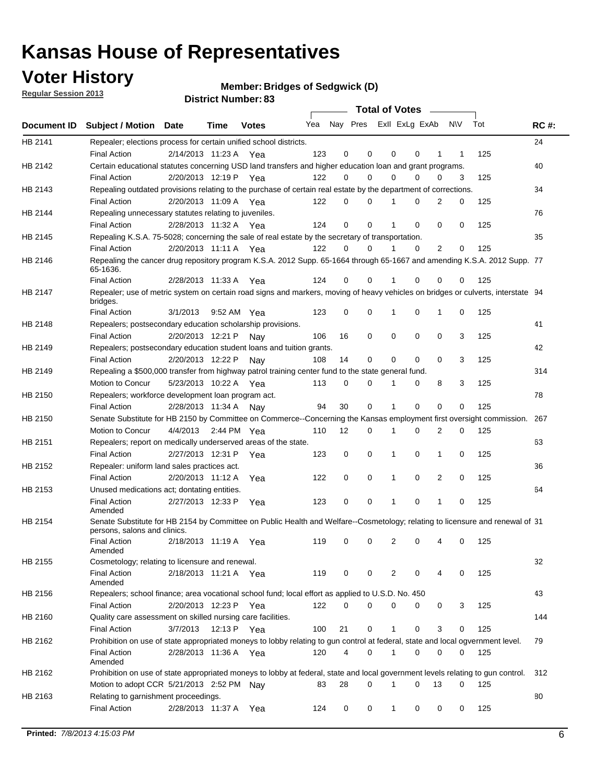## **Voter History**

**Member: Bridges of Sedgwick (D)** 

**Regular Session 2013**

|             |                                                                                                                                              |          |                       |              |     |             | <b>Total of Votes</b>   |              |   | $\sim$         |           |     |             |
|-------------|----------------------------------------------------------------------------------------------------------------------------------------------|----------|-----------------------|--------------|-----|-------------|-------------------------|--------------|---|----------------|-----------|-----|-------------|
| Document ID | <b>Subject / Motion Date</b>                                                                                                                 |          | Time                  | <b>Votes</b> | Yea |             | Nay Pres ExII ExLg ExAb |              |   |                | <b>NV</b> | Tot | <b>RC#:</b> |
| HB 2141     | Repealer; elections process for certain unified school districts.                                                                            |          |                       |              |     |             |                         |              |   |                |           |     | 24          |
|             | <b>Final Action</b>                                                                                                                          |          | 2/14/2013 11:23 A Yea |              | 123 | 0           | 0                       | 0            | 0 | 1              | 1         | 125 |             |
| HB 2142     | Certain educational statutes concerning USD land transfers and higher education loan and grant programs.                                     |          |                       |              |     |             |                         |              |   |                |           |     | 40          |
|             | <b>Final Action</b>                                                                                                                          |          | 2/20/2013 12:19 P Yea |              | 122 | 0           | 0                       | $\Omega$     | 0 | $\Omega$       | 3         | 125 |             |
| HB 2143     | Repealing outdated provisions relating to the purchase of certain real estate by the department of corrections.                              |          |                       |              |     |             |                         |              |   |                |           |     | 34          |
|             | <b>Final Action</b>                                                                                                                          |          | 2/20/2013 11:09 A Yea |              | 122 | 0           | 0                       | 1            | 0 | $\overline{2}$ | 0         | 125 |             |
| HB 2144     | Repealing unnecessary statutes relating to juveniles.                                                                                        |          |                       |              |     |             |                         |              |   |                |           |     | 76          |
|             | <b>Final Action</b>                                                                                                                          |          | 2/28/2013 11:32 A Yea |              | 124 | $\mathbf 0$ | 0                       | 1            | 0 | 0              | 0         | 125 |             |
| HB 2145     | Repealing K.S.A. 75-5028; concerning the sale of real estate by the secretary of transportation.                                             |          |                       |              |     |             |                         |              |   |                |           |     | 35          |
|             | <b>Final Action</b>                                                                                                                          |          | 2/20/2013 11:11 A Yea |              | 122 | 0           | 0                       | 1            | 0 | 2              | 0         | 125 |             |
| HB 2146     | Repealing the cancer drug repository program K.S.A. 2012 Supp. 65-1664 through 65-1667 and amending K.S.A. 2012 Supp. 77<br>65-1636.         |          |                       |              |     |             |                         |              |   |                |           |     |             |
|             | <b>Final Action</b>                                                                                                                          |          | 2/28/2013 11:33 A     | Yea          | 124 | 0           | 0                       | 1            | 0 | 0              | 0         | 125 |             |
| HB 2147     | Repealer; use of metric system on certain road signs and markers, moving of heavy vehicles on bridges or culverts, interstate 94<br>bridges. |          |                       |              |     |             |                         |              |   |                |           |     |             |
|             | <b>Final Action</b>                                                                                                                          | 3/1/2013 |                       | 9:52 AM Yea  | 123 | $\mathbf 0$ | 0                       |              | 0 | 1              | 0         | 125 |             |
| HB 2148     | Repealers; postsecondary education scholarship provisions.                                                                                   |          |                       |              |     |             |                         |              |   |                |           |     | 41          |
|             | <b>Final Action</b>                                                                                                                          |          | 2/20/2013 12:21 P     | Nav          | 106 | 16          | 0                       | $\mathbf 0$  | 0 | $\mathbf 0$    | 3         | 125 |             |
| HB 2149     | Repealers; postsecondary education student loans and tuition grants.                                                                         |          |                       |              |     |             |                         |              |   |                |           |     | 42          |
|             | <b>Final Action</b>                                                                                                                          |          | 2/20/2013 12:22 P     | Nay          | 108 | 14          | 0                       | 0            | 0 | $\Omega$       | 3         | 125 |             |
| HB 2149     | Repealing a \$500,000 transfer from highway patrol training center fund to the state general fund.                                           |          |                       |              |     |             |                         |              |   |                |           |     | 314         |
|             | Motion to Concur                                                                                                                             |          | 5/23/2013 10:22 A Yea |              | 113 | 0           | 0                       |              | 0 | 8              | 3         | 125 |             |
| HB 2150     | Repealers; workforce development loan program act.                                                                                           |          |                       |              |     |             |                         |              |   |                |           |     | 78          |
|             | <b>Final Action</b>                                                                                                                          |          | 2/28/2013 11:34 A     | Nav          | 94  | 30          | 0                       | 1            | 0 | 0              | 0         | 125 |             |
| HB 2150     | Senate Substitute for HB 2150 by Committee on Commerce--Concerning the Kansas employment first oversight commission.                         |          |                       |              |     |             |                         |              |   |                |           |     | 267         |
|             | Motion to Concur                                                                                                                             |          | 4/4/2013 2:44 PM Yea  |              | 110 | 12          | 0                       | 1            | 0 | 2              | 0         | 125 |             |
| HB 2151     | Repealers; report on medically underserved areas of the state.                                                                               |          |                       |              |     |             |                         |              |   |                |           |     | 63          |
|             | <b>Final Action</b>                                                                                                                          |          | 2/27/2013 12:31 P     | Yea          | 123 | 0           | 0                       | 1            | 0 | 1              | 0         | 125 |             |
| HB 2152     | Repealer: uniform land sales practices act.                                                                                                  |          |                       |              |     |             |                         |              |   |                |           |     | 36          |
|             | <b>Final Action</b>                                                                                                                          |          | 2/20/2013 11:12 A     | Yea          | 122 | 0           | 0                       | 1            | 0 | 2              | 0         | 125 |             |
| HB 2153     | Unused medications act; dontating entities.                                                                                                  |          |                       |              |     |             |                         |              |   |                |           |     | 64          |
|             | <b>Final Action</b><br>Amended                                                                                                               |          | 2/27/2013 12:33 P     | Yea          | 123 | 0           | 0                       | 1            | 0 | $\mathbf{1}$   | 0         | 125 |             |
| HB 2154     | Senate Substitute for HB 2154 by Committee on Public Health and Welfare--Cosmetology; relating to licensure and renewal of 31                |          |                       |              |     |             |                         |              |   |                |           |     |             |
|             | persons, salons and clinics.<br><b>Final Action</b><br>Amended                                                                               |          | 2/18/2013 11:19 A     | Yea          | 119 | 0           | 0                       | 2            | 0 | 4              | 0         | 125 |             |
| HB 2155     | Cosmetology; relating to licensure and renewal.                                                                                              |          |                       |              |     |             |                         |              |   |                |           |     | 32          |
|             | <b>Final Action</b><br>Amended                                                                                                               |          | 2/18/2013 11:21 A Yea |              | 119 | 0           | 0                       | 2            | 0 |                | 0         | 125 |             |
| HB 2156     | Repealers; school finance; area vocational school fund; local effort as applied to U.S.D. No. 450                                            |          |                       |              |     |             |                         |              |   |                |           |     | 43          |
|             | <b>Final Action</b>                                                                                                                          |          | 2/20/2013 12:23 P     | Yea          | 122 | 0           | 0                       | 0            | 0 | 0              | 3         | 125 |             |
| HB 2160     | Quality care assessment on skilled nursing care facilities.                                                                                  |          |                       |              |     |             |                         |              |   |                |           |     | 144         |
|             | <b>Final Action</b>                                                                                                                          | 3/7/2013 |                       | 12:13 P Yea  | 100 | 21          | 0                       | 1            | 0 | 3              | 0         | 125 |             |
| HB 2162     | Prohibition on use of state appropriated moneys to lobby relating to gun control at federal, state and local ogvernment level.               |          |                       |              |     |             |                         |              |   |                |           |     | 79          |
|             | <b>Final Action</b><br>Amended                                                                                                               |          | 2/28/2013 11:36 A Yea |              | 120 | 4           | 0                       | 1            | 0 | 0              | 0         | 125 |             |
| HB 2162     | Prohibition on use of state appropriated moneys to lobby at federal, state and local government levels relating to gun control.              |          |                       |              |     |             |                         |              |   |                |           |     | 312         |
|             | Motion to adopt CCR 5/21/2013 2:52 PM Nay                                                                                                    |          |                       |              | 83  | 28          | 0                       |              | 0 | 13             | 0         | 125 |             |
| HB 2163     | Relating to garnishment proceedings.                                                                                                         |          |                       |              |     |             |                         |              |   |                |           |     | 80          |
|             | <b>Final Action</b>                                                                                                                          |          | 2/28/2013 11:37 A     | Yea          | 124 | 0           | 0                       | $\mathbf{1}$ | 0 | 0              | 0         | 125 |             |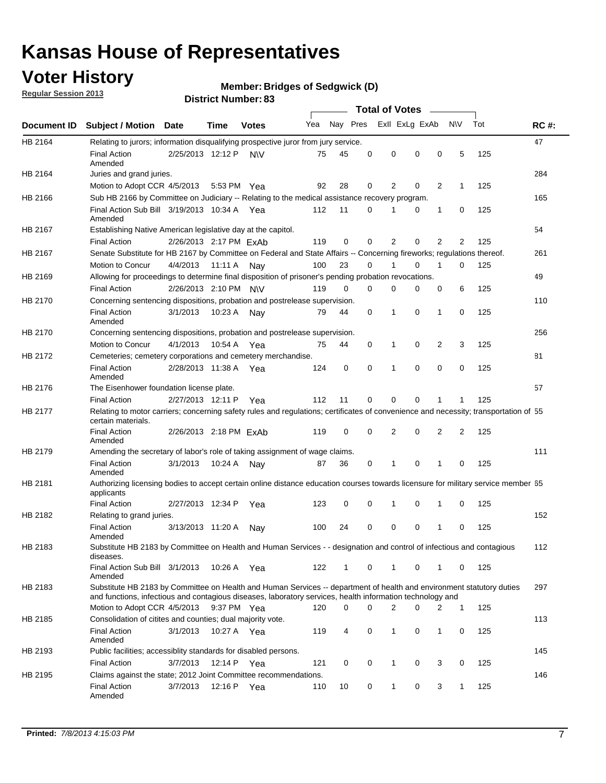## **Voter History**

**Member: Bridges of Sedgwick (D)** 

**Regular Session 2013**

|             |                                                                                                                                                                                                                                    |                        |             | <b>DISTRICT NUMBER: 05</b> |     |              |          |              | <b>Total of Votes</b> |                |              |     |             |
|-------------|------------------------------------------------------------------------------------------------------------------------------------------------------------------------------------------------------------------------------------|------------------------|-------------|----------------------------|-----|--------------|----------|--------------|-----------------------|----------------|--------------|-----|-------------|
| Document ID | <b>Subject / Motion</b>                                                                                                                                                                                                            | <b>Date</b>            | Time        | <b>Votes</b>               | Yea | Nay Pres     |          |              | Exll ExLg ExAb        | $\sim$         | N\V          | Tot | <b>RC#:</b> |
| HB 2164     | Relating to jurors; information disqualifying prospective juror from jury service.                                                                                                                                                 |                        |             |                            |     |              |          |              |                       |                |              |     | 47          |
|             | <b>Final Action</b><br>Amended                                                                                                                                                                                                     | 2/25/2013 12:12 P      |             | N\V                        | 75  | 45           | 0        | 0            | 0                     | 0              | 5            | 125 |             |
| HB 2164     | Juries and grand juries.                                                                                                                                                                                                           |                        |             |                            |     |              |          |              |                       |                |              |     | 284         |
|             | Motion to Adopt CCR 4/5/2013                                                                                                                                                                                                       |                        | 5:53 PM     | Yea                        | 92  | 28           | 0        | 2            | 0                     | $\overline{2}$ | 1            | 125 |             |
| HB 2166     | Sub HB 2166 by Committee on Judiciary -- Relating to the medical assistance recovery program.                                                                                                                                      |                        |             |                            |     |              |          |              |                       |                |              |     | 165         |
|             | Final Action Sub Bill 3/19/2013 10:34 A<br>Amended                                                                                                                                                                                 |                        |             | Yea                        | 112 | 11           | 0        | 1            | 0                     | 1              | 0            | 125 |             |
| HB 2167     | Establishing Native American legislative day at the capitol.                                                                                                                                                                       |                        |             |                            |     |              |          |              |                       |                |              |     | 54          |
|             | <b>Final Action</b>                                                                                                                                                                                                                | 2/26/2013 2:17 PM ExAb |             |                            | 119 | 0            | $\Omega$ | 2            | 0                     | 2              | 2            | 125 |             |
| HB 2167     | Senate Substitute for HB 2167 by Committee on Federal and State Affairs -- Concerning fireworks; regulations thereof.                                                                                                              |                        |             |                            |     |              |          |              |                       |                |              |     | 261         |
|             | Motion to Concur                                                                                                                                                                                                                   | 4/4/2013               | 11:11 A     | Nay                        | 100 | 23           | 0        | 1            | 0                     | $\mathbf 1$    | 0            | 125 |             |
| HB 2169     | Allowing for proceedings to determine final disposition of prisoner's pending probation revocations.                                                                                                                               |                        |             |                            |     |              |          |              |                       |                |              |     | 49          |
|             | <b>Final Action</b>                                                                                                                                                                                                                | 2/26/2013 2:10 PM N\V  |             |                            | 119 | 0            | $\Omega$ | 0            | 0                     | 0              | 6            | 125 |             |
| HB 2170     | Concerning sentencing dispositions, probation and postrelease supervision.                                                                                                                                                         |                        |             |                            |     |              |          |              |                       |                |              |     | 110         |
|             | <b>Final Action</b><br>Amended                                                                                                                                                                                                     | 3/1/2013               | 10:23 A     | Nay                        | 79  | 44           | 0        | 1            | 0                     | 1              | 0            | 125 |             |
| HB 2170     | Concerning sentencing dispositions, probation and postrelease supervision.                                                                                                                                                         |                        |             |                            |     |              |          |              |                       |                |              |     | 256         |
|             | <b>Motion to Concur</b>                                                                                                                                                                                                            | 4/1/2013               | 10:54 A     | Yea                        | 75  | 44           | $\Omega$ | 1            | 0                     | $\overline{2}$ | 3            | 125 |             |
| HB 2172     | Cemeteries; cemetery corporations and cemetery merchandise.                                                                                                                                                                        |                        |             |                            |     |              |          |              |                       |                |              |     | 81          |
|             | <b>Final Action</b><br>Amended                                                                                                                                                                                                     | 2/28/2013 11:38 A      |             | Yea                        | 124 | 0            | $\Omega$ | 1            | 0                     | $\Omega$       | 0            | 125 |             |
| HB 2176     | The Eisenhower foundation license plate.                                                                                                                                                                                           |                        |             |                            |     |              |          |              |                       |                |              |     | 57          |
|             | <b>Final Action</b>                                                                                                                                                                                                                | 2/27/2013 12:11 P      |             | Yea                        | 112 | 11           | 0        | 0            | 0                     | 1              | 1            | 125 |             |
| HB 2177     | Relating to motor carriers; concerning safety rules and regulations; certificates of convenience and necessity; transportation of 55<br>certain materials.                                                                         |                        |             |                            |     |              |          |              |                       |                |              |     |             |
|             | <b>Final Action</b><br>Amended                                                                                                                                                                                                     | 2/26/2013 2:18 PM ExAb |             |                            | 119 | 0            | 0        | 2            | 0                     | $\overline{2}$ | 2            | 125 |             |
| HB 2179     | Amending the secretary of labor's role of taking assignment of wage claims.                                                                                                                                                        |                        |             |                            |     |              |          |              |                       |                |              |     | 111         |
|             | <b>Final Action</b><br>Amended                                                                                                                                                                                                     | 3/1/2013               | 10:24 A     | Nay                        | 87  | 36           | 0        | 1            | 0                     | 1              | 0            | 125 |             |
| HB 2181     | Authorizing licensing bodies to accept certain online distance education courses towards licensure for military service member 55<br>applicants                                                                                    |                        |             |                            |     |              |          |              |                       |                |              |     |             |
|             | <b>Final Action</b>                                                                                                                                                                                                                | 2/27/2013 12:34 P      |             | Yea                        | 123 | 0            | 0        | 1            | 0                     | 1              | 0            | 125 |             |
| HB 2182     | Relating to grand juries.                                                                                                                                                                                                          |                        |             |                            |     |              |          |              |                       |                |              |     | 152         |
|             | <b>Final Action</b><br>Amended                                                                                                                                                                                                     | 3/13/2013 11:20 A      |             | Nav                        | 100 | 24           | 0        | 0            | 0                     | 1              | 0            | 125 |             |
| HB 2183     | Substitute HB 2183 by Committee on Health and Human Services - - designation and control of infectious and contagious<br>diseases.                                                                                                 |                        |             |                            |     |              |          |              |                       |                |              |     | 112         |
|             | Final Action Sub Bill 3/1/2013<br>Amended                                                                                                                                                                                          |                        | 10:26 A     | Yea                        | 122 | $\mathbf{1}$ | 0        | $\mathbf{1}$ | 0                     | 1              | 0            | 125 |             |
| HB 2183     | Substitute HB 2183 by Committee on Health and Human Services -- department of health and environment statutory duties<br>and functions, infectious and contagious diseases, laboratory services, health information technology and |                        |             |                            |     |              |          |              |                       |                |              |     | 297         |
|             | Motion to Adopt CCR 4/5/2013                                                                                                                                                                                                       |                        | 9:37 PM Yea |                            | 120 | 0            | $\Omega$ | 2            | 0                     | 2              | 1            | 125 |             |
| HB 2185     | Consolidation of citites and counties; dual majority vote.                                                                                                                                                                         |                        |             |                            |     |              |          |              |                       |                |              |     | 113         |
|             | <b>Final Action</b><br>Amended                                                                                                                                                                                                     | 3/1/2013               |             | 10:27 A Yea                | 119 | 4            | 0        | $\mathbf{1}$ | 0                     | 1              | 0            | 125 |             |
| HB 2193     | Public facilities; accessiblity standards for disabled persons.                                                                                                                                                                    |                        |             |                            |     |              |          |              |                       |                |              |     | 145         |
|             | <b>Final Action</b>                                                                                                                                                                                                                | 3/7/2013               | 12:14 P     | Yea                        | 121 | 0            | 0        | $\mathbf{1}$ | 0                     | 3              | 0            | 125 |             |
| HB 2195     | Claims against the state; 2012 Joint Committee recommendations.                                                                                                                                                                    |                        |             |                            |     |              |          |              |                       |                |              |     | 146         |
|             | <b>Final Action</b><br>Amended                                                                                                                                                                                                     | 3/7/2013               | 12:16 P     | Yea                        | 110 | 10           | 0        | $\mathbf{1}$ | 0                     | 3              | $\mathbf{1}$ | 125 |             |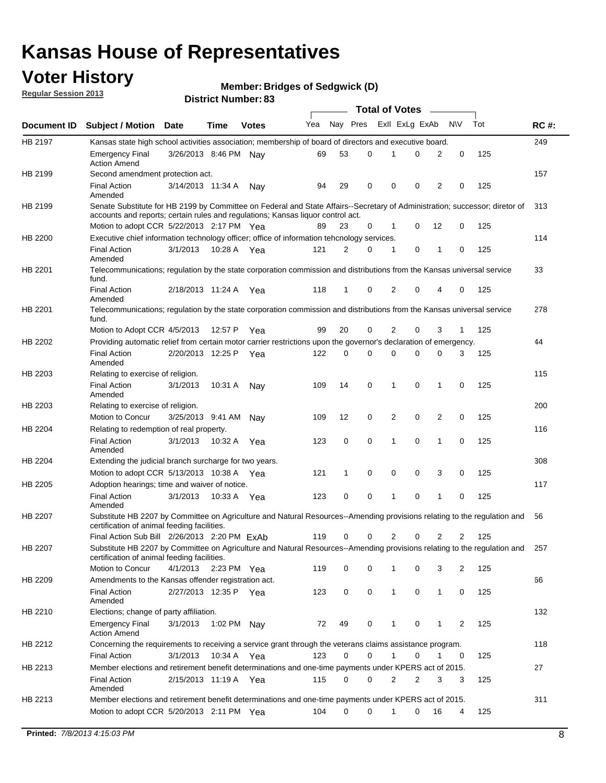## **Voter History**

**Member: Bridges of Sedgwick (D)** 

**Regular Session 2013**

|             |                                                                                                                                                                             |                       |             |              |     |          | <b>Total of Votes</b> |                |   |              |            |     |             |
|-------------|-----------------------------------------------------------------------------------------------------------------------------------------------------------------------------|-----------------------|-------------|--------------|-----|----------|-----------------------|----------------|---|--------------|------------|-----|-------------|
| Document ID | <b>Subject / Motion Date</b>                                                                                                                                                |                       | Time        | <b>Votes</b> | Yea | Nay Pres |                       | Exll ExLg ExAb |   |              | <b>N/A</b> | Tot | <b>RC#:</b> |
| HB 2197     | Kansas state high school activities association; membership of board of directors and executive board.                                                                      |                       |             |              |     |          |                       |                |   |              |            |     | 249         |
|             | Emergency Final<br><b>Action Amend</b>                                                                                                                                      | 3/26/2013 8:46 PM     |             | Nav          | 69  | 53       | 0                     |                | 0 | 2            | 0          | 125 |             |
| HB 2199     | Second amendment protection act.                                                                                                                                            |                       |             |              |     |          |                       |                |   |              |            |     | 157         |
|             | <b>Final Action</b><br>Amended                                                                                                                                              | 3/14/2013 11:34 A     |             | Nav          | 94  | 29       | 0                     | 0              | 0 | 2            | 0          | 125 |             |
| HB 2199     | Senate Substitute for HB 2199 by Committee on Federal and State Affairs--Secretary of Administration; successor; diretor of                                                 |                       |             |              |     |          |                       |                |   |              |            |     | 313         |
|             | accounts and reports; certain rules and regulations; Kansas liguor control act.                                                                                             |                       |             |              |     |          |                       |                |   |              |            |     |             |
|             | Motion to adopt CCR 5/22/2013 2:17 PM Yea                                                                                                                                   |                       |             |              | 89  | 23       | 0                     | 1              | 0 | 12           | 0          | 125 |             |
| HB 2200     | Executive chief information technology officer; office of information tehcnology services.                                                                                  |                       |             |              |     |          |                       |                |   |              |            |     | 114         |
|             | <b>Final Action</b><br>Amended                                                                                                                                              | 3/1/2013              | 10:28 A     | Yea          | 121 | 2        | 0                     | 1              | 0 | 1            | 0          | 125 |             |
| HB 2201     | Telecommunications; regulation by the state corporation commission and distributions from the Kansas universal service<br>fund.                                             |                       |             |              |     |          |                       |                |   |              |            |     | 33          |
|             | <b>Final Action</b><br>Amended                                                                                                                                              | 2/18/2013 11:24 A     |             | Yea          | 118 | 1        | 0                     | 2              | 0 | 4            | 0          | 125 |             |
| HB 2201     | Telecommunications; regulation by the state corporation commission and distributions from the Kansas universal service<br>fund.                                             |                       |             |              |     |          |                       |                |   |              |            |     | 278         |
|             | Motion to Adopt CCR 4/5/2013                                                                                                                                                |                       | 12:57 P     | Yea          | 99  | 20       | 0                     | 2              | 0 | 3            | 1          | 125 |             |
| HB 2202     | Providing automatic relief from certain motor carrier restrictions upon the governor's declaration of emergency.                                                            |                       |             |              |     |          |                       |                |   |              |            |     | 44          |
|             | <b>Final Action</b><br>Amended                                                                                                                                              | 2/20/2013 12:25 P     |             | Yea          | 122 | 0        | 0                     | 0              | 0 | $\Omega$     | 3          | 125 |             |
| HB 2203     | Relating to exercise of religion.                                                                                                                                           |                       |             |              |     |          |                       |                |   |              |            |     | 115         |
|             | <b>Final Action</b><br>Amended                                                                                                                                              | 3/1/2013              | 10:31 A     | Nay          | 109 | 14       | 0                     | 1              | 0 | 1            | 0          | 125 |             |
| HB 2203     | Relating to exercise of religion.                                                                                                                                           |                       |             |              |     |          |                       |                |   |              |            |     | 200         |
|             | Motion to Concur                                                                                                                                                            | 3/25/2013 9:41 AM     |             | Nav          | 109 | 12       | 0                     | 2              | 0 | 2            | 0          | 125 |             |
| HB 2204     | Relating to redemption of real property.                                                                                                                                    |                       |             |              |     |          |                       |                |   |              |            |     | 116         |
|             | <b>Final Action</b>                                                                                                                                                         | 3/1/2013              | 10:32 A     | Yea          | 123 | 0        | 0                     | 1              | 0 | 1            | 0          | 125 |             |
| HB 2204     | Amended<br>Extending the judicial branch surcharge for two years.                                                                                                           |                       |             |              |     |          |                       |                |   |              |            |     | 308         |
|             | Motion to adopt CCR 5/13/2013 10:38 A                                                                                                                                       |                       |             | Yea          | 121 | 1        | 0                     | 0              | 0 | 3            | 0          | 125 |             |
| HB 2205     | Adoption hearings; time and waiver of notice.                                                                                                                               |                       |             |              |     |          |                       |                |   |              |            |     | 117         |
|             | <b>Final Action</b>                                                                                                                                                         | 3/1/2013              | 10:33 A Yea |              | 123 | 0        | 0                     | 1              | 0 | 1            | 0          | 125 |             |
|             | Amended                                                                                                                                                                     |                       |             |              |     |          |                       |                |   |              |            |     |             |
| HB 2207     | Substitute HB 2207 by Committee on Agriculture and Natural Resources--Amending provisions relating to the regulation and<br>certification of animal feeding facilities.     |                       |             |              |     |          |                       |                |   |              |            |     | 56          |
|             | Final Action Sub Bill 2/26/2013 2:20 PM ExAb                                                                                                                                |                       |             |              | 119 | 0        | 0                     | 2              | 0 | 2            | 2          | 125 |             |
| HB 2207     | Substitute HB 2207 by Committee on Agriculture and Natural Resources--Amending provisions relating to the regulation and 257<br>certification of animal feeding facilities. |                       |             |              |     |          |                       |                |   |              |            |     |             |
|             | Motion to Concur                                                                                                                                                            | 4/1/2013 2:23 PM Yea  |             |              | 119 | 0        | 0                     | 1              | 0 | 3            | 2          | 125 |             |
| HB 2209     | Amendments to the Kansas offender registration act.                                                                                                                         |                       |             |              |     |          |                       |                |   |              |            |     | 66          |
|             | <b>Final Action</b><br>Amended                                                                                                                                              | 2/27/2013 12:35 P Yea |             |              | 123 | 0        | 0                     | $\mathbf{1}$   | 0 | $\mathbf{1}$ | 0          | 125 |             |
| HB 2210     | Elections; change of party affiliation.                                                                                                                                     |                       |             |              |     |          |                       |                |   |              |            |     | 132         |
|             | <b>Emergency Final</b><br><b>Action Amend</b>                                                                                                                               | 3/1/2013              | 1:02 PM Nay |              | 72  | 49       | 0                     |                | 0 | 1            | 2          | 125 |             |
| HB 2212     | Concerning the requirements to receiving a service grant through the veterans claims assistance program.                                                                    |                       |             |              |     |          |                       |                |   |              |            |     | 118         |
|             | Final Action                                                                                                                                                                | 3/1/2013              | 10:34 A Yea |              | 123 | 0        | 0                     | $\mathbf{1}$   | 0 | 1            | 0          | 125 |             |
| HB 2213     | Member elections and retirement benefit determinations and one-time payments under KPERS act of 2015.                                                                       |                       |             |              |     |          |                       |                |   |              |            |     | 27          |
|             | <b>Final Action</b><br>Amended                                                                                                                                              | 2/15/2013 11:19 A Yea |             |              | 115 | 0        | 0                     | 2              | 2 | 3            | 3          | 125 |             |
| HB 2213     | Member elections and retirement benefit determinations and one-time payments under KPERS act of 2015.                                                                       |                       |             |              |     |          |                       |                |   |              |            |     | 311         |
|             | Motion to adopt CCR 5/20/2013 2:11 PM Yea                                                                                                                                   |                       |             |              | 104 | $\Omega$ | 0                     | 1              | 0 | 16           | 4          | 125 |             |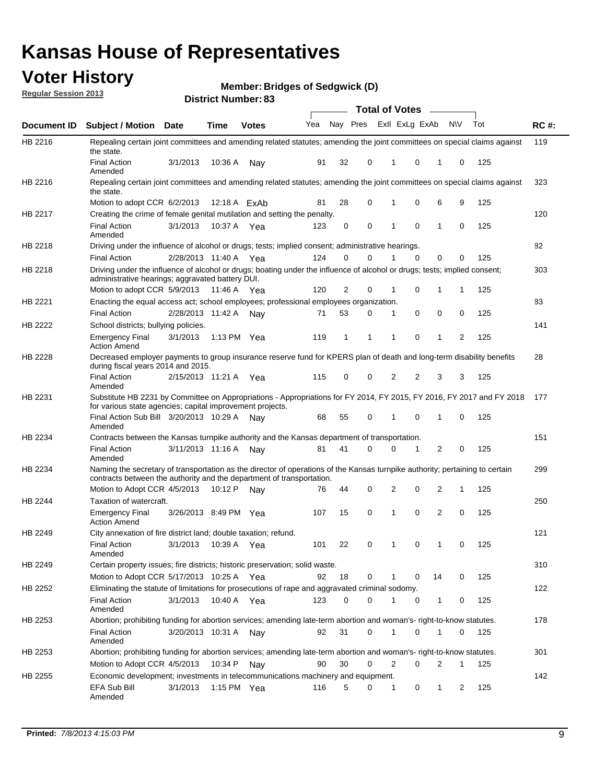## **Voter History**

**Member: Bridges of Sedgwick (D)** 

**Regular Session 2013**

|                |                                                                                                                                                                                                       |                       |             | טט . וסעווואדו או ווסוע |                             |              |          | <b>Total of Votes</b> |   | $\sim$         |              |     |             |
|----------------|-------------------------------------------------------------------------------------------------------------------------------------------------------------------------------------------------------|-----------------------|-------------|-------------------------|-----------------------------|--------------|----------|-----------------------|---|----------------|--------------|-----|-------------|
| Document ID    | <b>Subject / Motion Date</b>                                                                                                                                                                          |                       | <b>Time</b> | <b>Votes</b>            | Yea Nay Pres ExII ExLg ExAb |              |          |                       |   |                | <b>NV</b>    | Tot | <b>RC#:</b> |
| HB 2216        | Repealing certain joint committees and amending related statutes; amending the joint committees on special claims against<br>the state.                                                               |                       |             |                         |                             |              |          |                       |   |                |              |     | 119         |
|                | <b>Final Action</b><br>Amended                                                                                                                                                                        | 3/1/2013              | 10:36 A     | Nay                     | 91                          | 32           | 0        | 1                     | 0 | 1              | 0            | 125 |             |
| HB 2216        | Repealing certain joint committees and amending related statutes; amending the joint committees on special claims against<br>the state.                                                               |                       |             |                         |                             |              |          |                       |   |                |              |     | 323         |
|                | Motion to adopt CCR 6/2/2013                                                                                                                                                                          |                       |             | 12:18 A ExAb            | 81                          | 28           | 0        | 1                     | 0 | 6              | 9            | 125 |             |
| HB 2217        | Creating the crime of female genital mutilation and setting the penalty.                                                                                                                              |                       |             |                         |                             |              |          |                       |   |                |              |     | 120         |
|                | <b>Final Action</b><br>Amended                                                                                                                                                                        | 3/1/2013              | 10:37 A Yea |                         | 123                         | 0            | 0        | 1                     | 0 | $\mathbf{1}$   | 0            | 125 |             |
| HB 2218        | Driving under the influence of alcohol or drugs; tests; implied consent; administrative hearings.                                                                                                     |                       |             |                         |                             |              |          |                       |   |                |              |     | 82          |
|                | <b>Final Action</b>                                                                                                                                                                                   | 2/28/2013 11:40 A     |             | Yea                     | 124                         | 0            | 0        | 1                     | 0 | 0              | 0            | 125 |             |
| HB 2218        | Driving under the influence of alcohol or drugs; boating under the influence of alcohol or drugs; tests; implied consent;<br>administrative hearings; aggravated battery DUI.                         |                       |             |                         |                             |              |          |                       |   |                |              |     | 303         |
|                | Motion to adopt CCR 5/9/2013                                                                                                                                                                          |                       | 11:46 A     | Yea                     | 120                         | 2            | 0        | 1                     | 0 | 1              | 1            | 125 |             |
| HB 2221        | Enacting the equal access act; school employees; professional employees organization.                                                                                                                 |                       |             |                         |                             |              |          |                       |   |                |              |     | 83          |
|                | <b>Final Action</b>                                                                                                                                                                                   | 2/28/2013 11:42 A     |             | Nav                     | 71                          | 53           | 0        | 1                     | 0 | 0              | 0            | 125 |             |
| HB 2222        | School districts; bullying policies.                                                                                                                                                                  |                       |             |                         |                             |              |          |                       |   |                |              |     | 141         |
|                | <b>Emergency Final</b><br><b>Action Amend</b>                                                                                                                                                         | 3/1/2013              |             | 1:13 PM $Yea$           | 119                         | $\mathbf{1}$ | 1        | 1                     | 0 | $\mathbf{1}$   | 2            | 125 |             |
| HB 2228        | Decreased employer payments to group insurance reserve fund for KPERS plan of death and long-term disability benefits<br>during fiscal years 2014 and 2015.                                           |                       |             |                         |                             |              |          |                       |   |                |              |     | 28          |
|                | <b>Final Action</b><br>Amended                                                                                                                                                                        | 2/15/2013 11:21 A     |             | Yea                     | 115                         | 0            | 0        | 2                     | 2 | 3              | 3            | 125 |             |
| HB 2231        | Substitute HB 2231 by Committee on Appropriations - Appropriations for FY 2014, FY 2015, FY 2016, FY 2017 and FY 2018<br>for various state agencies; capital improvement projects.                    |                       |             |                         |                             |              |          |                       |   |                |              |     | 177         |
|                | Final Action Sub Bill 3/20/2013 10:29 A<br>Amended                                                                                                                                                    |                       |             | Nav                     | 68                          | 55           | 0        |                       | 0 | 1              | 0            | 125 |             |
| HB 2234        | Contracts between the Kansas turnpike authority and the Kansas department of transportation.                                                                                                          |                       |             |                         |                             |              |          |                       |   |                |              |     | 151         |
|                | <b>Final Action</b><br>Amended                                                                                                                                                                        | 3/11/2013 11:16 A     |             | Nav                     | 81                          | 41           | $\Omega$ | 0                     | 1 | $\overline{2}$ | 0            | 125 |             |
| HB 2234        | Naming the secretary of transportation as the director of operations of the Kansas turnpike authority; pertaining to certain<br>contracts between the authority and the department of transportation. |                       |             |                         |                             |              |          |                       |   |                |              |     | 299         |
|                | Motion to Adopt CCR 4/5/2013                                                                                                                                                                          |                       | 10:12 P     | Nav                     | 76                          | 44           | 0        | 2                     | 0 | 2              | 1            | 125 |             |
| <b>HB 2244</b> | Taxation of watercraft.<br><b>Emergency Final</b>                                                                                                                                                     | 3/26/2013 8:49 PM Yea |             |                         | 107                         | 15           | 0        | 1                     | 0 | 2              | 0            | 125 | 250         |
|                | <b>Action Amend</b>                                                                                                                                                                                   |                       |             |                         |                             |              |          |                       |   |                |              |     |             |
| HB 2249        | City annexation of fire district land; double taxation; refund.                                                                                                                                       |                       |             |                         |                             |              |          |                       |   |                |              |     | 121         |
|                | Final Action 3/1/2013 10:39 A Yea<br>Amended                                                                                                                                                          |                       |             |                         | 101                         | 22           | 0        | $\mathbf{1}$          | 0 | $\mathbf{1}$   | 0            | 125 |             |
| HB 2249        | Certain property issues; fire districts; historic preservation; solid waste.                                                                                                                          |                       |             |                         |                             |              |          |                       |   |                |              |     | 310         |
|                | Motion to Adopt CCR 5/17/2013 10:25 A Yea                                                                                                                                                             |                       |             |                         | 92                          | 18           | 0        | 1                     | 0 | 14             | 0            | 125 |             |
| HB 2252        | Eliminating the statute of limitations for prosecutions of rape and aggravated criminal sodomy.                                                                                                       |                       |             |                         |                             |              |          |                       |   |                |              |     | 122         |
|                | <b>Final Action</b><br>Amended                                                                                                                                                                        | 3/1/2013              |             | 10:40 A Yea             | 123                         | 0            | 0        |                       | 0 | $\mathbf{1}$   | 0            | 125 |             |
| HB 2253        | Abortion; prohibiting funding for abortion services; amending late-term abortion and woman's- right-to-know statutes.                                                                                 |                       |             |                         |                             |              |          |                       |   |                |              |     | 178         |
|                | <b>Final Action</b><br>Amended                                                                                                                                                                        | 3/20/2013 10:31 A     |             | Nay                     | 92                          | 31           | 0        | 1                     | 0 | 1              | 0            | 125 |             |
| HB 2253        | Abortion; prohibiting funding for abortion services; amending late-term abortion and woman's- right-to-know statutes.                                                                                 |                       |             |                         |                             |              |          |                       |   |                |              |     | 301         |
|                | Motion to Adopt CCR 4/5/2013                                                                                                                                                                          |                       | 10:34 P     | Nay                     | 90                          | 30           | 0        | 2                     | 0 | 2              | $\mathbf{1}$ | 125 |             |
| HB 2255        | Economic development; investments in telecommunications machinery and equipment.                                                                                                                      |                       |             |                         |                             |              |          |                       |   |                |              |     | 142         |
|                | EFA Sub Bill<br>Amended                                                                                                                                                                               | 3/1/2013              |             | 1:15 PM Yea             | 116                         | 5            | 0        | 1                     | 0 | 1              | 2            | 125 |             |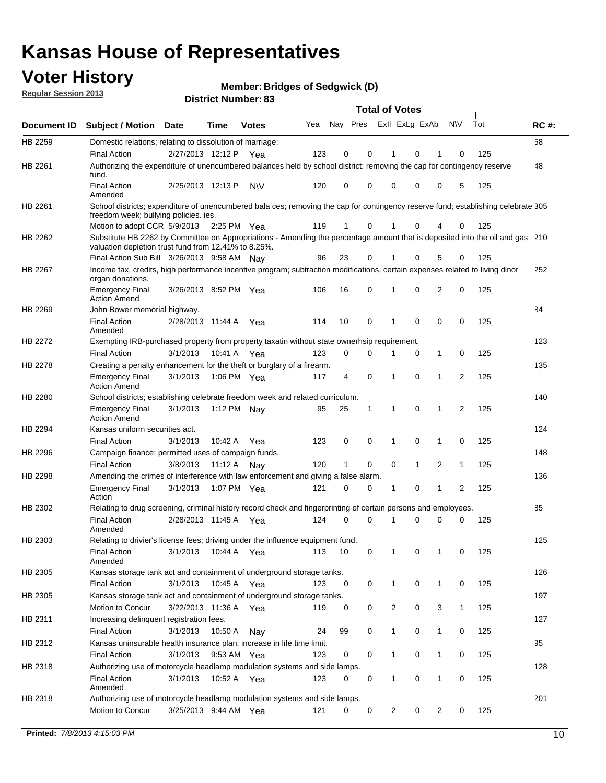## **Voter History**

**Member: Bridges of Sedgwick (D)** 

**Regular Session 2013**

|                    |                                                                                                                                                                                       |                       | טט הסעוווטנו ועוווטכו |              |     |          |          | <b>Total of Votes</b> |              | $\sim$       |                |     |     |
|--------------------|---------------------------------------------------------------------------------------------------------------------------------------------------------------------------------------|-----------------------|-----------------------|--------------|-----|----------|----------|-----------------------|--------------|--------------|----------------|-----|-----|
| <b>Document ID</b> | <b>Subject / Motion Date</b>                                                                                                                                                          |                       | <b>Time</b>           | <b>Votes</b> | Yea | Nay Pres |          | Exll ExLg ExAb        |              |              | <b>NV</b>      | Tot | RC# |
| HB 2259            | Domestic relations; relating to dissolution of marriage;                                                                                                                              |                       |                       |              |     |          |          |                       |              |              |                |     | 58  |
|                    | <b>Final Action</b>                                                                                                                                                                   | 2/27/2013 12:12 P     |                       | Yea          | 123 | 0        | 0        | 1                     | 0            | 1            | 0              | 125 |     |
| HB 2261            | Authorizing the expenditure of unencumbered balances held by school district; removing the cap for contingency reserve<br>fund.                                                       |                       |                       |              |     |          |          |                       |              |              |                |     | 48  |
|                    | <b>Final Action</b><br>Amended                                                                                                                                                        | 2/25/2013 12:13 P     |                       | <b>NV</b>    | 120 | 0        | 0        | 0                     | 0            | 0            | 5              | 125 |     |
| HB 2261            | School districts; expenditure of unencumbered bala ces; removing the cap for contingency reserve fund; establishing celebrate 305<br>freedom week; bullying policies. ies.            |                       |                       |              |     |          |          |                       |              |              |                |     |     |
|                    | Motion to adopt CCR 5/9/2013                                                                                                                                                          |                       | 2:25 PM Yea           |              | 119 | 1        | 0        | 1                     | 0            | 4            | 0              | 125 |     |
| HB 2262            | Substitute HB 2262 by Committee on Appropriations - Amending the percentage amount that is deposited into the oil and gas 210<br>valuation depletion trust fund from 12.41% to 8.25%. |                       |                       |              |     |          |          |                       |              |              |                |     |     |
|                    | Final Action Sub Bill 3/26/2013 9:58 AM                                                                                                                                               |                       |                       | Nav          | 96  | 23       | 0        |                       | 0            | 5            | 0              | 125 |     |
| HB 2267            | Income tax, credits, high performance incentive program; subtraction modifications, certain expenses related to living dinor<br>organ donations.                                      |                       |                       |              |     |          |          |                       |              |              |                |     | 252 |
|                    | <b>Emergency Final</b><br><b>Action Amend</b>                                                                                                                                         | 3/26/2013 8:52 PM Yea |                       |              | 106 | 16       | 0        | 1                     | 0            | 2            | 0              | 125 |     |
| HB 2269            | John Bower memorial highway.                                                                                                                                                          |                       |                       |              |     |          |          |                       |              |              |                |     | 84  |
|                    | <b>Final Action</b><br>Amended                                                                                                                                                        | 2/28/2013 11:44 A     |                       | Yea          | 114 | 10       | 0        | 1                     | 0            | 0            | 0              | 125 |     |
| <b>HB 2272</b>     | Exempting IRB-purchased property from property taxatin without state ownerhsip requirement.                                                                                           |                       |                       |              |     |          |          |                       |              |              |                |     | 123 |
|                    | <b>Final Action</b>                                                                                                                                                                   | 3/1/2013              | 10:41 A               | Yea          | 123 | 0        | 0        | 1                     | 0            | $\mathbf{1}$ | 0              | 125 |     |
| HB 2278            | Creating a penalty enhancement for the theft or burglary of a firearm.                                                                                                                |                       |                       |              |     |          |          |                       |              |              |                |     | 135 |
|                    | <b>Emergency Final</b><br><b>Action Amend</b>                                                                                                                                         | 3/1/2013              | 1:06 PM Yea           |              | 117 | 4        | 0        | 1                     | $\Omega$     | 1            | $\overline{2}$ | 125 |     |
| HB 2280            | School districts; establishing celebrate freedom week and related curriculum.                                                                                                         |                       |                       |              |     |          |          |                       |              |              |                |     | 140 |
|                    | <b>Emergency Final</b><br><b>Action Amend</b>                                                                                                                                         | 3/1/2013              | 1:12 PM Nay           |              | 95  | 25       | 1        | 1                     | 0            | 1            | 2              | 125 |     |
| HB 2294            | Kansas uniform securities act.                                                                                                                                                        |                       |                       |              |     |          |          |                       |              |              |                |     | 124 |
|                    | <b>Final Action</b>                                                                                                                                                                   | 3/1/2013              | 10:42 A               | Yea          | 123 | 0        | 0        | 1                     | 0            | 1            | 0              | 125 |     |
| HB 2296            | Campaign finance; permitted uses of campaign funds.                                                                                                                                   |                       |                       |              |     |          |          |                       |              |              |                |     | 148 |
|                    | <b>Final Action</b>                                                                                                                                                                   | 3/8/2013              | 11:12 A               | Nav          | 120 | 1        | 0        | 0                     | $\mathbf{1}$ | 2            | $\mathbf{1}$   | 125 |     |
| HB 2298            | Amending the crimes of interference with law enforcement and giving a false alarm.                                                                                                    |                       |                       |              |     |          |          |                       |              |              |                |     | 136 |
|                    | <b>Emergency Final</b><br>Action                                                                                                                                                      | 3/1/2013              | 1:07 PM Yea           |              | 121 | 0        | 0        | 1                     | 0            | 1            | 2              | 125 |     |
| HB 2302            | Relating to drug screening, criminal history record check and fingerprinting of certain persons and employees.                                                                        |                       |                       |              |     |          |          |                       |              |              |                |     | 85  |
|                    | <b>Final Action</b><br>Amended                                                                                                                                                        | 2/28/2013 11:45 A     |                       | Yea          | 124 | $\Omega$ | $\Omega$ | 1                     | 0            | 0            | 0              | 125 |     |
| HB 2303            | Relating to drivier's license fees; driving under the influence equipment fund.                                                                                                       |                       |                       |              |     |          |          |                       |              |              |                |     | 125 |
|                    | <b>Final Action</b><br>Amended                                                                                                                                                        | 3/1/2013              | 10:44 A               | Yea          | 113 | 10       | 0        | 1                     | 0            | 1            | 0              | 125 |     |
| HB 2305            | Kansas storage tank act and containment of underground storage tanks.                                                                                                                 |                       |                       |              |     |          |          |                       |              |              |                |     | 126 |
|                    | Final Action                                                                                                                                                                          | 3/1/2013              | 10:45 A               | Yea          | 123 | 0        | 0        | 1                     | 0            | 1            | 0              | 125 |     |
| HB 2305            | Kansas storage tank act and containment of underground storage tanks.                                                                                                                 |                       |                       |              |     |          |          |                       |              |              |                |     | 197 |
|                    | Motion to Concur                                                                                                                                                                      | 3/22/2013 11:36 A     |                       | Yea          | 119 | 0        | 0        | $\overline{c}$        | 0            | 3            | $\mathbf{1}$   | 125 |     |
| HB 2311            | Increasing delinquent registration fees.<br><b>Final Action</b>                                                                                                                       | 3/1/2013              | 10:50 A               | Nay          | 24  | 99       | 0        | 1                     | 0            | $\mathbf{1}$ | 0              | 125 | 127 |
| HB 2312            | Kansas uninsurable health insurance plan; increase in life time limit.                                                                                                                |                       |                       |              |     |          |          |                       |              |              |                |     | 95  |
|                    | <b>Final Action</b>                                                                                                                                                                   | 3/1/2013              | 9:53 AM Yea           |              | 123 | 0        | 0        |                       | 0            | 1            | 0              | 125 |     |
| HB 2318            | Authorizing use of motorcycle headlamp modulation systems and side lamps.                                                                                                             |                       |                       |              |     |          |          |                       |              |              |                |     | 128 |
|                    | <b>Final Action</b><br>Amended                                                                                                                                                        | 3/1/2013              | 10:52 A               | Yea          | 123 | 0        | 0        | 1                     | 0            | 1            | 0              | 125 |     |
| HB 2318            | Authorizing use of motorcycle headlamp modulation systems and side lamps.                                                                                                             |                       |                       |              |     |          |          |                       |              |              |                |     | 201 |
|                    | Motion to Concur                                                                                                                                                                      | 3/25/2013 9:44 AM Yea |                       |              | 121 | 0        | 0        | 2                     | 0            | 2            | 0              | 125 |     |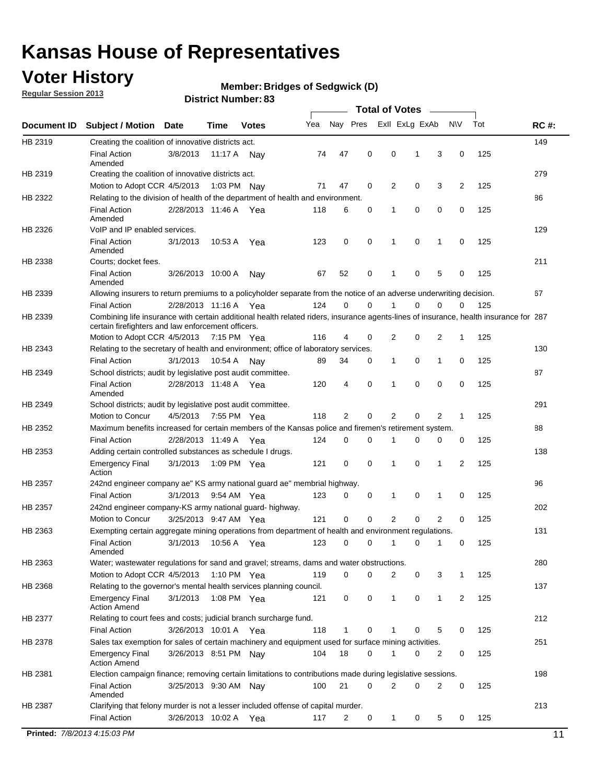## **Voter History**

**Member: Bridges of Sedgwick (D)** 

**Regular Session 2013**

|             |                                                                                                                                                                                             |                       |             |               |     |             |             | <b>Total of Votes</b> |   |                |           |     |             |
|-------------|---------------------------------------------------------------------------------------------------------------------------------------------------------------------------------------------|-----------------------|-------------|---------------|-----|-------------|-------------|-----------------------|---|----------------|-----------|-----|-------------|
| Document ID | <b>Subject / Motion</b>                                                                                                                                                                     | <b>Date</b>           | Time        | <b>Votes</b>  | Yea | Nay Pres    |             | Exll ExLg ExAb        |   |                | <b>NV</b> | Tot | <b>RC#:</b> |
| HB 2319     | Creating the coalition of innovative districts act.                                                                                                                                         |                       |             |               |     |             |             |                       |   |                |           |     | 149         |
|             | <b>Final Action</b><br>Amended                                                                                                                                                              | 3/8/2013              | 11:17 A     | Nav           | 74  | 47          | 0           | 0                     | 1 | 3              | 0         | 125 |             |
| HB 2319     | Creating the coalition of innovative districts act.                                                                                                                                         |                       |             |               |     |             |             |                       |   |                |           |     | 279         |
|             | Motion to Adopt CCR 4/5/2013                                                                                                                                                                |                       |             | 1:03 PM Nay   | 71  | 47          | 0           | 2                     | 0 | 3              | 2         | 125 |             |
| HB 2322     | Relating to the division of health of the department of health and environment.                                                                                                             |                       |             |               |     |             |             |                       |   |                |           |     | 86          |
|             | <b>Final Action</b>                                                                                                                                                                         | 2/28/2013 11:46 A Yea |             |               | 118 | 6           | 0           | 1                     | 0 | 0              | 0         | 125 |             |
|             | Amended                                                                                                                                                                                     |                       |             |               |     |             |             |                       |   |                |           |     |             |
| HB 2326     | VoIP and IP enabled services.                                                                                                                                                               |                       |             |               |     |             |             |                       |   |                |           |     | 129         |
|             | <b>Final Action</b><br>Amended                                                                                                                                                              | 3/1/2013              | 10.53 A     | Yea           | 123 | $\mathbf 0$ | 0           | $\mathbf{1}$          | 0 | 1              | 0         | 125 |             |
| HB 2338     | Courts; docket fees.                                                                                                                                                                        |                       |             |               |     |             |             |                       |   |                |           |     | 211         |
|             | <b>Final Action</b><br>Amended                                                                                                                                                              | 3/26/2013 10:00 A     |             | Nav           | 67  | 52          | 0           | $\mathbf 1$           | 0 | 5              | 0         | 125 |             |
| HB 2339     | Allowing insurers to return premiums to a policyholder separate from the notice of an adverse underwriting decision.                                                                        |                       |             |               |     |             |             |                       |   |                |           |     | 67          |
|             | <b>Final Action</b>                                                                                                                                                                         | 2/28/2013 11:16 A Yea |             |               | 124 | 0           | 0           |                       | 0 | 0              | 0         | 125 |             |
| HB 2339     | Combining life insurance with certain additional health related riders, insurance agents-lines of insurance, health insurance for 287<br>certain firefighters and law enforcement officers. |                       |             |               |     |             |             |                       |   |                |           |     |             |
|             | Motion to Adopt CCR 4/5/2013 7:15 PM Yea                                                                                                                                                    |                       |             |               | 116 | 4           | 0           | 2                     | 0 | 2              | -1        | 125 |             |
| HB 2343     | Relating to the secretary of health and environment; office of laboratory services.                                                                                                         |                       |             |               |     |             |             |                       |   |                |           |     | 130         |
|             | <b>Final Action</b>                                                                                                                                                                         | 3/1/2013              | 10:54 A Nay |               | 89  | 34          | 0           | 1                     | 0 | $\mathbf{1}$   | 0         | 125 |             |
| HB 2349     | School districts; audit by legislative post audit committee.                                                                                                                                |                       |             |               |     |             |             |                       |   |                |           |     | 87          |
|             | <b>Final Action</b><br>Amended                                                                                                                                                              | 2/28/2013 11:48 A Yea |             |               | 120 | 4           | $\mathbf 0$ | $\mathbf{1}$          | 0 | $\mathbf 0$    | 0         | 125 |             |
| HB 2349     | School districts; audit by legislative post audit committee.                                                                                                                                |                       |             |               |     |             |             |                       |   |                |           |     | 291         |
|             | Motion to Concur                                                                                                                                                                            | 4/5/2013              |             | 7:55 PM Yea   | 118 | 2           | 0           | 2                     | 0 | 2              | 1         | 125 |             |
| HB 2352     | Maximum benefits increased for certain members of the Kansas police and firemen's retirement system.                                                                                        |                       |             |               |     |             |             |                       |   |                |           |     | 88          |
|             | <b>Final Action</b>                                                                                                                                                                         | 2/28/2013 11:49 A     |             | Yea           | 124 | 0           | 0           | 1                     | 0 | 0              | 0         | 125 |             |
| HB 2353     | Adding certain controlled substances as schedule I drugs.                                                                                                                                   |                       |             |               |     |             |             |                       |   |                |           |     | 138         |
|             | Emergency Final<br>Action                                                                                                                                                                   | 3/1/2013              |             | 1:09 PM Yea   | 121 | 0           | 0           | $\mathbf{1}$          | 0 | 1              | 2         | 125 |             |
| HB 2357     | 242nd engineer company ae" KS army national guard ae" membrial highway.                                                                                                                     |                       |             |               |     |             |             |                       |   |                |           |     | 96          |
|             | <b>Final Action</b>                                                                                                                                                                         | 3/1/2013              |             | 9:54 AM Yea   | 123 | 0           | 0           | 1                     | 0 | 1              | 0         | 125 |             |
| HB 2357     | 242nd engineer company-KS army national guard- highway.                                                                                                                                     |                       |             |               |     |             |             |                       |   |                |           |     | 202         |
|             | Motion to Concur                                                                                                                                                                            | 3/25/2013 9:47 AM Yea |             |               | 121 | $\mathbf 0$ | $\mathbf 0$ | 2                     | 0 | $\overline{2}$ | 0         | 125 |             |
| HB 2363     | Exempting certain aggregate mining operations from department of health and environment regulations.                                                                                        |                       |             |               |     |             |             |                       |   |                |           |     | 131         |
|             | <b>Final Action</b><br>Amended                                                                                                                                                              | 3/1/2013              | 10:56 A     | Yea           | 123 | 0           | 0           | 1                     | 0 | 1              | 0         | 125 |             |
| HB 2363     | Water; wastewater regulations for sand and gravel; streams, dams and water obstructions.                                                                                                    |                       |             |               |     |             |             |                       |   |                |           |     | 280         |
|             | Motion to Adopt CCR 4/5/2013                                                                                                                                                                |                       |             | 1:10 PM $Yea$ | 119 | 0           | 0           | 2                     | 0 | 3              | 1         | 125 |             |
| HB 2368     | Relating to the governor's mental health services planning council.<br>Emergency Final                                                                                                      | 3/1/2013              |             | 1:08 PM Yea   | 121 | 0           | 0           | 1                     | 0 | $\mathbf{1}$   | 2         | 125 | 137         |
|             | Action Amend                                                                                                                                                                                |                       |             |               |     |             |             |                       |   |                |           |     |             |
| HB 2377     | Relating to court fees and costs; judicial branch surcharge fund.                                                                                                                           |                       |             |               |     |             |             |                       |   |                |           |     | 212         |
|             | Final Action                                                                                                                                                                                | 3/26/2013 10:01 A Yea |             |               | 118 | 1           | 0           |                       | 0 | 5              | 0         | 125 |             |
| HB 2378     | Sales tax exemption for sales of certain machinery and equipment used for surface mining activities.                                                                                        |                       |             |               |     |             |             |                       |   |                |           |     | 251         |
|             | Emergency Final<br><b>Action Amend</b>                                                                                                                                                      | 3/26/2013 8:51 PM Nay |             |               | 104 | 18          | 0           | 1                     | 0 | 2              | 0         | 125 |             |
| HB 2381     | Election campaign finance; removing certain limitations to contributions made during legislative sessions.                                                                                  |                       |             |               |     |             |             |                       |   |                |           |     | 198         |
|             | <b>Final Action</b><br>Amended                                                                                                                                                              | 3/25/2013 9:30 AM Nay |             |               | 100 | 21          | 0           | 2                     | 0 | $\overline{2}$ | 0         | 125 |             |
| HB 2387     | Clarifying that felony murder is not a lesser included offense of capital murder.                                                                                                           |                       |             |               |     |             |             |                       |   |                |           |     | 213         |
|             | <b>Final Action</b>                                                                                                                                                                         | 3/26/2013 10:02 A     |             | Yea           | 117 | 2           | 0           | 1                     | 0 | 5              | 0         | 125 |             |
|             | Printed: 7/8/2013 4:15:03 PM                                                                                                                                                                |                       |             |               |     |             |             |                       |   |                |           |     | 11          |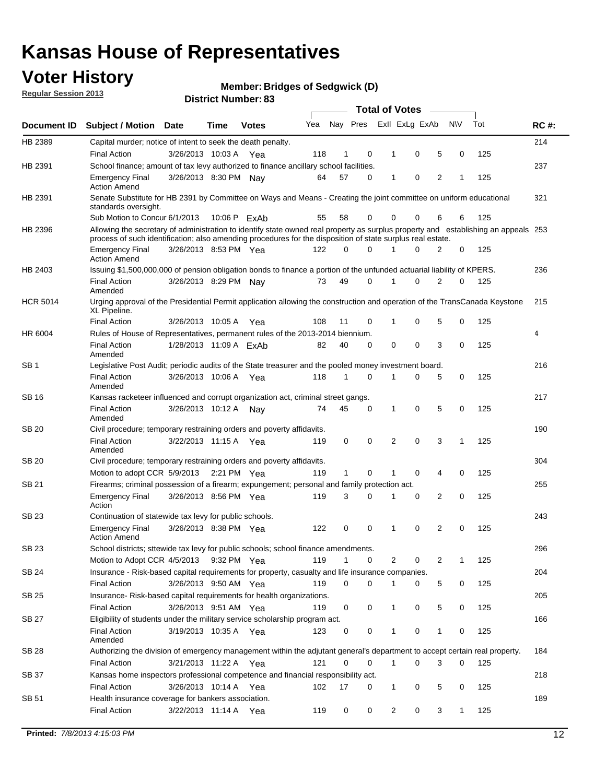## **Voter History**

**Member: Bridges of Sedgwick (D)** 

**Regular Session 2013**

|                 |                                                                                                                                                                                                                                                  |                        |      |              |     |              |          | <b>Total of Votes</b> |   |   |              |     |             |
|-----------------|--------------------------------------------------------------------------------------------------------------------------------------------------------------------------------------------------------------------------------------------------|------------------------|------|--------------|-----|--------------|----------|-----------------------|---|---|--------------|-----|-------------|
| Document ID     | Subject / Motion Date                                                                                                                                                                                                                            |                        | Time | <b>Votes</b> | Yea | Nay Pres     |          | Exll ExLg ExAb        |   |   | <b>NV</b>    | Tot | <b>RC#:</b> |
| HB 2389         | Capital murder; notice of intent to seek the death penalty.                                                                                                                                                                                      |                        |      |              |     |              |          |                       |   |   |              |     | 214         |
|                 | <b>Final Action</b>                                                                                                                                                                                                                              | 3/26/2013 10:03 A      |      | Yea          | 118 | 1            | 0        | 1                     | 0 | 5 | 0            | 125 |             |
| HB 2391         | School finance; amount of tax levy authorized to finance ancillary school facilities.                                                                                                                                                            |                        |      |              |     |              |          |                       |   |   |              |     | 237         |
|                 | <b>Emergency Final</b><br><b>Action Amend</b>                                                                                                                                                                                                    | 3/26/2013 8:30 PM Nav  |      |              | 64  | 57           | 0        | 1                     | 0 | 2 | 1            | 125 |             |
| HB 2391         | Senate Substitute for HB 2391 by Committee on Ways and Means - Creating the joint committee on uniform educational<br>standards oversight.                                                                                                       |                        |      |              |     |              |          |                       |   |   |              |     | 321         |
|                 | Sub Motion to Concur 6/1/2013                                                                                                                                                                                                                    |                        |      | 10:06 P ExAb | 55  | 58           | 0        | 0                     | 0 | 6 | 6            | 125 |             |
| HB 2396         | Allowing the secretary of administration to identify state owned real property as surplus property and establishing an appeals 253<br>process of such identification; also amending procedures for the disposition of state surplus real estate. |                        |      |              |     |              |          |                       |   |   |              |     |             |
|                 | <b>Emergency Final</b><br>Action Amend                                                                                                                                                                                                           | 3/26/2013 8:53 PM Yea  |      |              | 122 | 0            | 0        |                       | 0 | 2 | 0            | 125 |             |
| HB 2403         | Issuing \$1,500,000,000 of pension obligation bonds to finance a portion of the unfunded actuarial liability of KPERS.                                                                                                                           |                        |      |              |     |              |          |                       |   |   |              |     | 236         |
|                 | <b>Final Action</b><br>Amended                                                                                                                                                                                                                   | 3/26/2013 8:29 PM Nay  |      |              | 73  | 49           | 0        | 1                     | 0 | 2 | 0            | 125 |             |
| <b>HCR 5014</b> | Urging approval of the Presidential Permit application allowing the construction and operation of the TransCanada Keystone<br>XL Pipeline.                                                                                                       |                        |      |              |     |              |          |                       |   |   |              |     | 215         |
|                 | <b>Final Action</b>                                                                                                                                                                                                                              | 3/26/2013 10:05 A      |      | Yea          | 108 | 11           | 0        |                       | 0 | 5 | 0            | 125 |             |
| HR 6004         | Rules of House of Representatives, permanent rules of the 2013-2014 biennium.                                                                                                                                                                    |                        |      |              |     |              |          |                       |   |   |              |     | 4           |
|                 | <b>Final Action</b><br>Amended                                                                                                                                                                                                                   | 1/28/2013 11:09 A ExAb |      |              | 82  | 40           | 0        | 0                     | 0 | 3 | 0            | 125 |             |
| SB 1            | Legislative Post Audit; periodic audits of the State treasurer and the pooled money investment board.                                                                                                                                            |                        |      |              |     |              |          |                       |   |   |              |     | 216         |
|                 | <b>Final Action</b><br>Amended                                                                                                                                                                                                                   | 3/26/2013 10:06 A      |      | Yea          | 118 | 1            | 0        | 1                     | 0 | 5 | 0            | 125 |             |
| SB 16           | Kansas racketeer influenced and corrupt organization act, criminal street gangs.                                                                                                                                                                 |                        |      |              |     |              |          |                       |   |   |              |     | 217         |
|                 | <b>Final Action</b><br>Amended                                                                                                                                                                                                                   | 3/26/2013 10:12 A Nay  |      |              | 74  | 45           | 0        | 1                     | 0 | 5 | 0            | 125 |             |
| SB 20           | Civil procedure; temporary restraining orders and poverty affidavits.                                                                                                                                                                            |                        |      |              |     |              |          |                       |   |   |              |     | 190         |
|                 | <b>Final Action</b><br>Amended                                                                                                                                                                                                                   | 3/22/2013 11:15 A      |      | Yea          | 119 | 0            | 0        | 2                     | 0 | 3 | $\mathbf{1}$ | 125 |             |
| SB 20           | Civil procedure; temporary restraining orders and poverty affidavits.                                                                                                                                                                            |                        |      |              |     |              |          |                       |   |   |              |     | 304         |
|                 | Motion to adopt CCR 5/9/2013                                                                                                                                                                                                                     |                        |      | 2:21 PM Yea  | 119 | $\mathbf{1}$ | 0        | 1                     | 0 | 4 | 0            | 125 |             |
| SB 21           | Firearms; criminal possession of a firearm; expungement; personal and family protection act.                                                                                                                                                     |                        |      |              |     |              |          |                       |   |   |              |     | 255         |
|                 | <b>Emergency Final</b><br>Action                                                                                                                                                                                                                 | 3/26/2013 8:56 PM Yea  |      |              | 119 | 3            | 0        |                       | 0 | 2 | 0            | 125 |             |
| SB 23           | Continuation of statewide tax levy for public schools.                                                                                                                                                                                           |                        |      |              |     |              |          |                       |   |   |              |     | 243         |
|                 | <b>Emergency Final</b><br><b>Action Amend</b>                                                                                                                                                                                                    | 3/26/2013 8:38 PM Yea  |      |              | 122 | 0            | 0        | 1                     | 0 | 2 | 0            | 125 |             |
| <b>SB 23</b>    | School districts; sttewide tax levy for public schools; school finance amendments                                                                                                                                                                |                        |      |              |     |              |          |                       |   |   |              |     | 296         |
|                 | Motion to Adopt CCR 4/5/2013 9:32 PM Yea                                                                                                                                                                                                         |                        |      |              | 119 | 1            | 0        | 2                     | 0 | 2 | 1            | 125 |             |
| <b>SB 24</b>    | Insurance - Risk-based capital requirements for property, casualty and life insurance companies.                                                                                                                                                 |                        |      |              |     |              |          |                       |   |   |              |     | 204         |
|                 | <b>Final Action</b>                                                                                                                                                                                                                              | 3/26/2013 9:50 AM Yea  |      |              | 119 | 0            | 0        |                       | 0 | 5 | 0            | 125 |             |
| SB 25           | Insurance-Risk-based capital requirements for health organizations.                                                                                                                                                                              |                        |      |              |     |              |          |                       |   |   |              |     | 205         |
|                 | <b>Final Action</b>                                                                                                                                                                                                                              | 3/26/2013 9:51 AM Yea  |      |              | 119 | 0            | 0        | 1                     | 0 | 5 | 0            | 125 |             |
| SB 27           | Eligibility of students under the military service scholarship program act.                                                                                                                                                                      |                        |      |              |     |              |          |                       |   |   |              |     | 166         |
|                 | <b>Final Action</b><br>Amended                                                                                                                                                                                                                   | 3/19/2013 10:35 A Yea  |      |              | 123 | 0            | 0        |                       | 0 | 1 | 0            | 125 |             |
| SB 28           | Authorizing the division of emergency management within the adjutant general's department to accept certain real property.                                                                                                                       |                        |      |              |     |              |          |                       |   |   |              |     | 184         |
|                 | <b>Final Action</b>                                                                                                                                                                                                                              | 3/21/2013 11:22 A Yea  |      |              | 121 | 0            | $\Omega$ | 1                     | 0 | 3 | $\Omega$     | 125 |             |
| SB 37           | Kansas home inspectors professional competence and financial responsibility act.                                                                                                                                                                 |                        |      |              |     |              |          |                       |   |   |              |     | 218         |
|                 | <b>Final Action</b>                                                                                                                                                                                                                              | 3/26/2013 10:14 A Yea  |      |              | 102 | 17           | 0        | 1                     | 0 | 5 | 0            | 125 |             |
| SB 51           | Health insurance coverage for bankers association.                                                                                                                                                                                               |                        |      |              |     |              |          |                       |   |   |              |     | 189         |
|                 | <b>Final Action</b>                                                                                                                                                                                                                              | 3/22/2013 11:14 A Yea  |      |              | 119 | 0            | 0        | 2                     | 0 | 3 | $\mathbf{1}$ | 125 |             |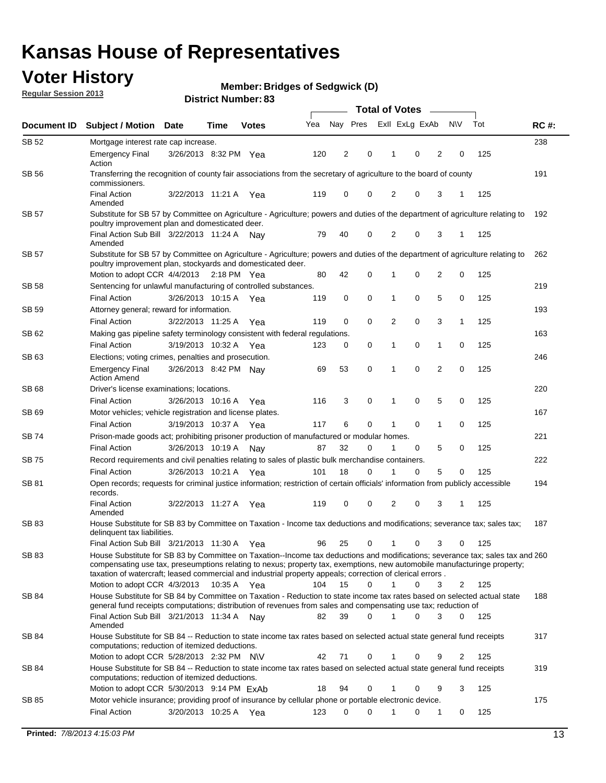## **Voter History**

**Member: Bridges of Sedgwick (D)** 

**Regular Session 2013**

|              |                                                                                                                                                                                                                                                                                                                                                                         |                       |             |              |     | <b>Total of Votes</b> |             |                |   |                |             |     |             |  |
|--------------|-------------------------------------------------------------------------------------------------------------------------------------------------------------------------------------------------------------------------------------------------------------------------------------------------------------------------------------------------------------------------|-----------------------|-------------|--------------|-----|-----------------------|-------------|----------------|---|----------------|-------------|-----|-------------|--|
| Document ID  | <b>Subject / Motion Date</b>                                                                                                                                                                                                                                                                                                                                            |                       | Time        | <b>Votes</b> | Yea | Nay Pres              |             | Exll ExLg ExAb |   |                | <b>NV</b>   | Tot | <b>RC#:</b> |  |
| SB 52        | Mortgage interest rate cap increase.                                                                                                                                                                                                                                                                                                                                    |                       |             |              |     |                       |             |                |   |                |             |     | 238         |  |
|              | <b>Emergency Final</b><br>Action                                                                                                                                                                                                                                                                                                                                        | 3/26/2013 8:32 PM Yea |             |              | 120 | 2                     | 0           |                | 0 | 2              | 0           | 125 |             |  |
| SB 56        | Transferring the recognition of county fair associations from the secretary of agriculture to the board of county<br>commissioners.                                                                                                                                                                                                                                     |                       |             |              |     |                       |             |                |   |                |             |     | 191         |  |
|              | <b>Final Action</b><br>Amended                                                                                                                                                                                                                                                                                                                                          | 3/22/2013 11:21 A     |             | Yea          | 119 | 0                     | 0           | 2              | 0 | 3              | 1           | 125 |             |  |
| SB 57        | Substitute for SB 57 by Committee on Agriculture - Agriculture; powers and duties of the department of agriculture relating to<br>poultry improvement plan and domesticated deer.                                                                                                                                                                                       |                       |             |              |     |                       |             |                |   |                |             |     | 192         |  |
|              | Final Action Sub Bill 3/22/2013 11:24 A<br>Amended                                                                                                                                                                                                                                                                                                                      |                       |             | Nav          | 79  | 40                    | 0           | 2              | 0 | 3              | 1           | 125 |             |  |
| SB 57        | Substitute for SB 57 by Committee on Agriculture - Agriculture; powers and duties of the department of agriculture relating to<br>poultry improvement plan, stockyards and domesticated deer.                                                                                                                                                                           |                       |             |              |     |                       |             |                |   |                |             |     | 262         |  |
|              | Motion to adopt CCR 4/4/2013 2:18 PM Yea                                                                                                                                                                                                                                                                                                                                |                       |             |              | 80  | 42                    | 0           | 1              | 0 | 2              | 0           | 125 |             |  |
| SB 58        | Sentencing for unlawful manufacturing of controlled substances.                                                                                                                                                                                                                                                                                                         |                       |             |              |     |                       |             |                |   |                |             |     | 219         |  |
|              | <b>Final Action</b>                                                                                                                                                                                                                                                                                                                                                     | 3/26/2013 10:15 A     |             | Yea          | 119 | 0                     | 0           | 1              | 0 | 5              | 0           | 125 |             |  |
| <b>SB 59</b> | Attorney general; reward for information.                                                                                                                                                                                                                                                                                                                               |                       |             |              |     |                       |             |                |   |                |             |     | 193         |  |
|              | <b>Final Action</b>                                                                                                                                                                                                                                                                                                                                                     | 3/22/2013 11:25 A     |             | Yea          | 119 | 0                     | 0           | 2              | 0 | 3              | 1           | 125 |             |  |
| SB 62        | Making gas pipeline safety terminology consistent with federal regulations.                                                                                                                                                                                                                                                                                             |                       |             |              |     |                       |             |                |   |                |             |     | 163         |  |
|              | <b>Final Action</b>                                                                                                                                                                                                                                                                                                                                                     | 3/19/2013 10:32 A     |             | Yea          | 123 | 0                     | 0           | 1              | 0 | 1              | 0           | 125 |             |  |
| SB 63        | Elections; voting crimes, penalties and prosecution.<br><b>Emergency Final</b>                                                                                                                                                                                                                                                                                          | 3/26/2013 8:42 PM Nay |             |              | 69  | 53                    | $\mathbf 0$ | 1              | 0 | $\overline{2}$ | $\mathbf 0$ | 125 | 246         |  |
|              | <b>Action Amend</b>                                                                                                                                                                                                                                                                                                                                                     |                       |             |              |     |                       |             |                |   |                |             |     |             |  |
| SB 68        | Driver's license examinations; locations.                                                                                                                                                                                                                                                                                                                               |                       |             |              |     |                       |             |                |   |                |             |     | 220         |  |
|              | <b>Final Action</b>                                                                                                                                                                                                                                                                                                                                                     | 3/26/2013 10:16 A     |             | Yea          | 116 | 3                     | 0           | 1              | 0 | 5              | 0           | 125 |             |  |
| SB 69        | Motor vehicles; vehicle registration and license plates.<br><b>Final Action</b>                                                                                                                                                                                                                                                                                         | 3/19/2013 10:37 A     |             |              | 117 | 6                     | 0           | 1              | 0 | 1              | 0           | 125 | 167         |  |
| SB 74        | Prison-made goods act; prohibiting prisoner production of manufactured or modular homes.                                                                                                                                                                                                                                                                                |                       |             | Yea          |     |                       |             |                |   |                |             |     | 221         |  |
|              | <b>Final Action</b>                                                                                                                                                                                                                                                                                                                                                     | 3/26/2013 10:19 A     |             |              | 87  | 32                    | 0           | 1              | 0 | 5              | 0           | 125 |             |  |
| SB 75        | Record requirements and civil penalties relating to sales of plastic bulk merchandise containers.                                                                                                                                                                                                                                                                       |                       |             | Nay          |     |                       |             |                |   |                |             |     | 222         |  |
|              | <b>Final Action</b>                                                                                                                                                                                                                                                                                                                                                     | 3/26/2013 10:21 A     |             | Yea          | 101 | 18                    | 0           | 1              | 0 | 5              | 0           | 125 |             |  |
| SB 81        |                                                                                                                                                                                                                                                                                                                                                                         |                       |             |              |     |                       |             |                |   |                |             |     | 194         |  |
|              | Open records; requests for criminal justice information; restriction of certain officials' information from publicly accessible<br>records.                                                                                                                                                                                                                             |                       |             |              |     |                       |             |                |   |                |             |     |             |  |
|              | <b>Final Action</b><br>Amended                                                                                                                                                                                                                                                                                                                                          | 3/22/2013 11:27 A     |             | Yea          | 119 | 0                     | 0           | 2              | 0 | 3              | 1           | 125 |             |  |
| <b>SB83</b>  | House Substitute for SB 83 by Committee on Taxation - Income tax deductions and modifications; severance tax; sales tax;<br>delinquent tax liabilities.                                                                                                                                                                                                                 |                       |             |              |     |                       |             |                |   |                |             |     | 187         |  |
|              | Final Action Sub Bill 3/21/2013 11:30 A Yea                                                                                                                                                                                                                                                                                                                             |                       |             |              | 96  | 25                    | 0           | 1              | 0 | 3              | 0           | 125 |             |  |
| SB 83        | House Substitute for SB 83 by Committee on Taxation--Income tax deductions and modifications; severance tax; sales tax and 260<br>compensating use tax, preseumptions relating to nexus; property tax, exemptions, new automobile manufacturinge property;<br>taxation of watercraft; leased commercial and industrial property appeals; correction of clerical errors. |                       |             |              |     |                       |             |                |   |                |             |     |             |  |
|              | Motion to adopt CCR 4/3/2013                                                                                                                                                                                                                                                                                                                                            |                       | 10:35 A Yea |              | 104 | 15                    | 0           | $\mathbf{1}$   | 0 | 3              | 2           | 125 |             |  |
| SB 84        | House Substitute for SB 84 by Committee on Taxation - Reduction to state income tax rates based on selected actual state<br>general fund receipts computations; distribution of revenues from sales and compensating use tax; reduction of                                                                                                                              |                       |             |              |     |                       |             |                |   |                |             |     | 188         |  |
|              | Final Action Sub Bill 3/21/2013 11:34 A Nay<br>Amended                                                                                                                                                                                                                                                                                                                  |                       |             |              | 82  | 39                    | $\Omega$    |                | 0 | 3              | $\Omega$    | 125 |             |  |
| SB 84        | House Substitute for SB 84 -- Reduction to state income tax rates based on selected actual state general fund receipts<br>computations; reduction of itemized deductions.                                                                                                                                                                                               |                       |             |              |     |                       |             |                |   |                |             |     | 317         |  |
|              | Motion to adopt CCR 5/28/2013 2:32 PM N\V                                                                                                                                                                                                                                                                                                                               |                       |             |              | 42  | 71                    | 0           |                | 0 | 9              | 2           | 125 |             |  |
| SB 84        | House Substitute for SB 84 -- Reduction to state income tax rates based on selected actual state general fund receipts<br>computations; reduction of itemized deductions.                                                                                                                                                                                               |                       |             |              |     |                       |             |                |   |                |             |     | 319         |  |
|              | Motion to adopt CCR 5/30/2013 9:14 PM ExAb                                                                                                                                                                                                                                                                                                                              |                       |             |              | 18  | 94                    | 0           |                | 0 | 9              | 3           | 125 | 175         |  |
| SB 85        | Motor vehicle insurance; providing proof of insurance by cellular phone or portable electronic device.<br><b>Final Action</b>                                                                                                                                                                                                                                           | 3/20/2013 10:25 A Yea |             |              | 123 | 0                     | $\Omega$    |                | 0 | 1              | 0           | 125 |             |  |
|              |                                                                                                                                                                                                                                                                                                                                                                         |                       |             |              |     |                       |             |                |   |                |             |     |             |  |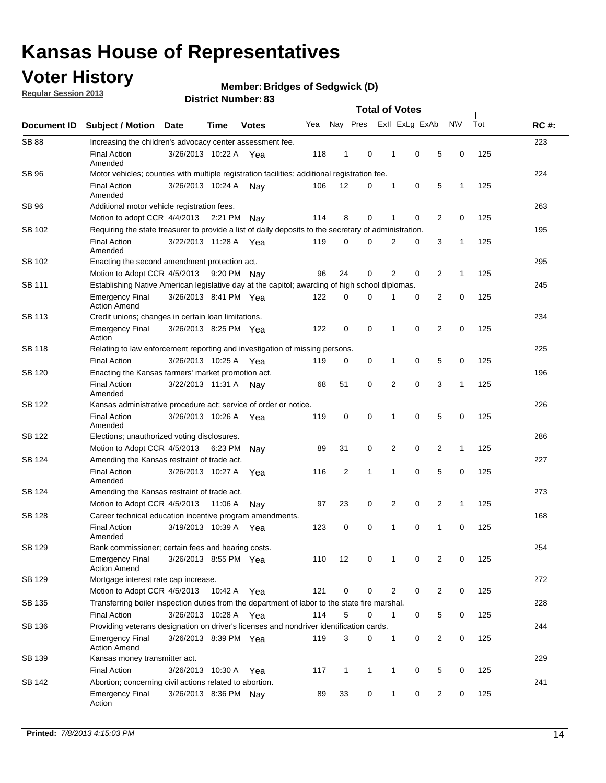## **Voter History**

**Regular Session 2013**

#### **Member: Bridges of Sedgwick (D)**

| Document ID   | <b>Subject / Motion</b>                                                                                                                       | Date                  | Time    | <b>Votes</b> | Yea | Nay Pres     |   |   | Exll ExLg ExAb |                | <b>NV</b>    | Tot | <b>RC#:</b> |
|---------------|-----------------------------------------------------------------------------------------------------------------------------------------------|-----------------------|---------|--------------|-----|--------------|---|---|----------------|----------------|--------------|-----|-------------|
| <b>SB 88</b>  | Increasing the children's advocacy center assessment fee.                                                                                     |                       |         |              |     |              |   |   |                |                |              |     | 223         |
|               | <b>Final Action</b><br>Amended                                                                                                                | 3/26/2013 10:22 A     |         | Yea          | 118 | 1            | 0 | 1 | 0              | 5              | 0            | 125 |             |
| <b>SB 96</b>  | Motor vehicles; counties with multiple registration facilities; additional registration fee.                                                  |                       |         |              |     |              |   |   |                |                |              |     | 224         |
|               | <b>Final Action</b>                                                                                                                           | 3/26/2013 10:24 A     |         | Nav          | 106 | 12           | 0 | 1 | 0              | 5              | 1            | 125 |             |
| <b>SB 96</b>  | Amended                                                                                                                                       |                       |         |              |     |              |   |   |                |                |              |     |             |
|               | Additional motor vehicle registration fees.                                                                                                   |                       |         |              |     | 8            | 0 | 1 | 0              | $\overline{2}$ | 0            |     | 263         |
| SB 102        | Motion to adopt CCR 4/4/2013 2:21 PM<br>Requiring the state treasurer to provide a list of daily deposits to the secretary of administration. |                       |         | Nay          | 114 |              |   |   |                |                |              | 125 | 195         |
|               | <b>Final Action</b>                                                                                                                           | 3/22/2013 11:28 A Yea |         |              | 119 | 0            | 0 | 2 | 0              | 3              | $\mathbf{1}$ | 125 |             |
|               | Amended                                                                                                                                       |                       |         |              |     |              |   |   |                |                |              |     |             |
| SB 102        | Enacting the second amendment protection act.                                                                                                 |                       |         |              |     |              |   |   |                |                |              |     | 295         |
|               | Motion to Adopt CCR 4/5/2013                                                                                                                  |                       |         | 9:20 PM Nay  | 96  | 24           | 0 | 2 | 0              | 2              | $\mathbf{1}$ | 125 |             |
| SB 111        | Establishing Native American legislative day at the capitol; awarding of high school diplomas.                                                |                       |         |              |     |              |   |   |                |                |              |     | 245         |
|               | <b>Emergency Final</b><br><b>Action Amend</b>                                                                                                 | 3/26/2013 8:41 PM Yea |         |              | 122 | 0            | 0 |   | 0              | 2              | 0            | 125 |             |
| <b>SB 113</b> | Credit unions; changes in certain loan limitations.                                                                                           |                       |         |              |     |              |   |   |                |                |              |     | 234         |
|               | <b>Emergency Final</b><br>Action                                                                                                              | 3/26/2013 8:25 PM Yea |         |              | 122 | 0            | 0 | 1 | 0              | $\overline{2}$ | 0            | 125 |             |
| <b>SB 118</b> | Relating to law enforcement reporting and investigation of missing persons.                                                                   |                       |         |              |     |              |   |   |                |                |              |     | 225         |
|               | <b>Final Action</b>                                                                                                                           | 3/26/2013 10:25 A     |         | Yea          | 119 | 0            | 0 | 1 | 0              | 5              | 0            | 125 |             |
| SB 120        | Enacting the Kansas farmers' market promotion act.                                                                                            |                       |         |              |     |              |   |   |                |                |              |     | 196         |
|               | <b>Final Action</b><br>Amended                                                                                                                | 3/22/2013 11:31 A Nay |         |              | 68  | 51           | 0 | 2 | 0              | 3              | 1            | 125 |             |
| <b>SB 122</b> | Kansas administrative procedure act; service of order or notice.                                                                              |                       |         |              |     |              |   |   |                |                |              |     | 226         |
|               | <b>Final Action</b><br>Amended                                                                                                                | 3/26/2013 10:26 A     |         | Yea          | 119 | 0            | 0 | 1 | 0              | 5              | 0            | 125 |             |
| SB 122        | Elections; unauthorized voting disclosures.                                                                                                   |                       |         |              |     |              |   |   |                |                |              |     | 286         |
|               | Motion to Adopt CCR 4/5/2013                                                                                                                  |                       | 6:23 PM | Nav          | 89  | 31           | 0 | 2 | 0              | 2              | 1            | 125 |             |
| SB 124        | Amending the Kansas restraint of trade act.                                                                                                   |                       |         |              |     |              |   |   |                |                |              |     | 227         |
|               | <b>Final Action</b><br>Amended                                                                                                                | 3/26/2013 10:27 A     |         | Yea          | 116 | 2            | 1 | 1 | 0              | 5              | 0            | 125 |             |
| SB 124        | Amending the Kansas restraint of trade act.                                                                                                   |                       |         |              |     |              |   |   |                |                |              |     | 273         |
|               | Motion to Adopt CCR 4/5/2013                                                                                                                  |                       | 11:06 A | Nav          | 97  | 23           | 0 | 2 | 0              | 2              | 1            | 125 |             |
| SB 128        | Career technical education incentive program amendments.                                                                                      |                       |         |              |     |              |   |   |                |                |              |     | 168         |
|               | <b>Final Action</b><br>Amended                                                                                                                | 3/19/2013 10:39 A     |         | Yea          | 123 | 0            | 0 | 1 | 0              | 1              | 0            | 125 |             |
| SB 129        | Bank commissioner: certain fees and hearing costs.                                                                                            |                       |         |              |     |              |   |   |                |                |              |     | 254         |
|               | <b>Emergency Final</b><br><b>Action Amend</b>                                                                                                 | 3/26/2013 8:55 PM Yea |         |              | 110 | 12           | 0 |   | 0              | 2              | 0            | 125 |             |
| <b>SB 129</b> | Mortgage interest rate cap increase.                                                                                                          |                       |         |              |     |              |   |   |                |                |              |     | 272         |
|               | Motion to Adopt CCR 4/5/2013 10:42 A                                                                                                          |                       |         | Yea          | 121 | 0            | 0 | 2 | 0              | $\overline{2}$ | 0            | 125 |             |
| SB 135        | Transferring boiler inspection duties from the department of labor to the state fire marshal.                                                 |                       |         |              |     |              |   |   |                |                |              |     | 228         |
|               | <b>Final Action</b>                                                                                                                           | 3/26/2013 10:28 A Yea |         |              | 114 | 5            | 0 | 1 | 0              | 5              | 0            | 125 |             |
| SB 136        | Providing veterans designation on driver's licenses and nondriver identification cards.                                                       |                       |         |              |     |              |   |   |                |                |              |     | 244         |
|               | <b>Emergency Final</b><br><b>Action Amend</b>                                                                                                 | 3/26/2013 8:39 PM Yea |         |              | 119 | 3            | 0 | 1 | 0              | $\overline{2}$ | 0            | 125 |             |
| SB 139        | Kansas money transmitter act.                                                                                                                 |                       |         |              |     |              |   |   |                |                |              |     | 229         |
|               | <b>Final Action</b>                                                                                                                           | 3/26/2013 10:30 A     |         | Yea          | 117 | $\mathbf{1}$ | 1 | 1 | 0              | 5              | 0            | 125 |             |
| SB 142        | Abortion; concerning civil actions related to abortion.                                                                                       |                       |         |              |     |              |   |   |                |                |              |     | 241         |
|               | <b>Emergency Final</b><br>Action                                                                                                              | 3/26/2013 8:36 PM Nay |         |              | 89  | 33           | 0 | 1 | 0              | 2              | 0            | 125 |             |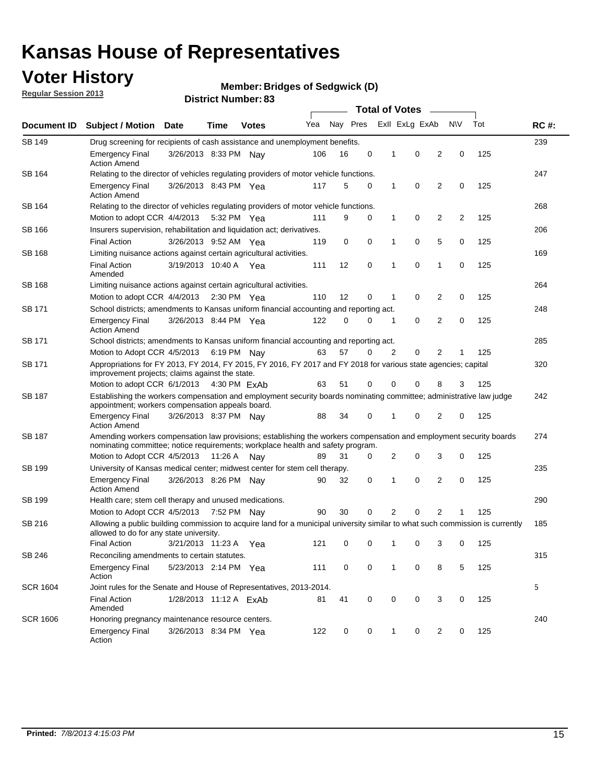## **Voter History**

**Member: Bridges of Sedgwick (D)** 

**Regular Session 2013**

| Document ID     |                                                                                                                                                                                                       |                                                                                    |                       |              | <b>Total of Votes</b> |          |   |                |                |                            |           |     |             |  |  |  |  |  |
|-----------------|-------------------------------------------------------------------------------------------------------------------------------------------------------------------------------------------------------|------------------------------------------------------------------------------------|-----------------------|--------------|-----------------------|----------|---|----------------|----------------|----------------------------|-----------|-----|-------------|--|--|--|--|--|
|                 | <b>Subject / Motion Date</b>                                                                                                                                                                          |                                                                                    | Time                  | <b>Votes</b> | Yea                   | Nay Pres |   |                | Exll ExLg ExAb |                            | <b>NV</b> | Tot | <b>RC#:</b> |  |  |  |  |  |
| <b>SB 149</b>   |                                                                                                                                                                                                       | 239<br>Drug screening for recipients of cash assistance and unemployment benefits. |                       |              |                       |          |   |                |                |                            |           |     |             |  |  |  |  |  |
|                 | <b>Emergency Final</b><br><b>Action Amend</b>                                                                                                                                                         | 3/26/2013 8:33 PM Nav                                                              |                       |              | 106                   | 16       | 0 | 1              | 0              | 2                          | 0         | 125 |             |  |  |  |  |  |
| SB 164          | Relating to the director of vehicles regulating providers of motor vehicle functions.                                                                                                                 |                                                                                    |                       |              |                       |          |   |                |                |                            |           |     | 247         |  |  |  |  |  |
|                 | <b>Emergency Final</b><br><b>Action Amend</b>                                                                                                                                                         | 3/26/2013 8:43 PM Yea                                                              |                       |              | 117                   | 5        | 0 | 1              | 0              | 2                          | 0         | 125 |             |  |  |  |  |  |
| SB 164          | Relating to the director of vehicles regulating providers of motor vehicle functions.                                                                                                                 |                                                                                    |                       |              |                       |          |   |                |                |                            |           |     | 268         |  |  |  |  |  |
|                 | Motion to adopt CCR 4/4/2013 5:32 PM Yea                                                                                                                                                              |                                                                                    |                       |              | 111                   | 9        | 0 | $\mathbf{1}$   | 0              | 2                          | 2         | 125 |             |  |  |  |  |  |
| <b>SB 166</b>   |                                                                                                                                                                                                       | Insurers supervision, rehabilitation and liquidation act; derivatives.             |                       |              |                       |          |   |                |                |                            |           |     | 206         |  |  |  |  |  |
|                 | <b>Final Action</b>                                                                                                                                                                                   | 3/26/2013 9:52 AM Yea                                                              |                       |              | 119                   | 0        | 0 | 1              | 0              | 5                          | 0         | 125 |             |  |  |  |  |  |
| SB 168          | Limiting nuisance actions against certain agricultural activities.                                                                                                                                    |                                                                                    |                       |              |                       |          |   |                |                |                            |           |     | 169         |  |  |  |  |  |
|                 | <b>Final Action</b><br>Amended                                                                                                                                                                        | 3/19/2013 10:40 A Yea                                                              |                       |              | 111                   | 12       | 0 | 1              | 0              | 1                          | 0         | 125 |             |  |  |  |  |  |
| SB 168          | Limiting nuisance actions against certain agricultural activities.                                                                                                                                    |                                                                                    |                       |              |                       |          |   |                |                |                            |           |     | 264         |  |  |  |  |  |
|                 | Motion to adopt CCR 4/4/2013                                                                                                                                                                          |                                                                                    | $2:30 \text{ PM}$ Yea |              | 110                   | 12       | 0 | 1              | 0              | 2                          | 0         | 125 |             |  |  |  |  |  |
| SB 171          | School districts; amendments to Kansas uniform financial accounting and reporting act.                                                                                                                |                                                                                    |                       |              |                       |          |   |                |                |                            |           |     | 248         |  |  |  |  |  |
|                 | <b>Emergency Final</b><br><b>Action Amend</b>                                                                                                                                                         | 3/26/2013 8:44 PM Yea                                                              |                       |              | 122                   | 0        | 0 | 1              | 0              | 2                          | 0         | 125 |             |  |  |  |  |  |
| SB 171          | School districts; amendments to Kansas uniform financial accounting and reporting act.                                                                                                                |                                                                                    |                       |              |                       |          |   |                |                |                            |           |     | 285         |  |  |  |  |  |
|                 | Motion to Adopt CCR 4/5/2013 6:19 PM Nav                                                                                                                                                              |                                                                                    |                       |              | 63                    | 57       | 0 | $\overline{2}$ | 0              | $\overline{2}$<br>125<br>1 |           |     |             |  |  |  |  |  |
| SB 171          | Appropriations for FY 2013, FY 2014, FY 2015, FY 2016, FY 2017 and FY 2018 for various state agencies; capital<br>improvement projects; claims against the state.                                     |                                                                                    |                       |              |                       |          |   |                |                |                            |           |     | 320         |  |  |  |  |  |
|                 | Motion to adopt CCR 6/1/2013 4:30 PM ExAb                                                                                                                                                             |                                                                                    |                       |              | 63                    | 51       | 0 | 0              | 0              | 8                          | 3         | 125 |             |  |  |  |  |  |
| SB 187          | Establishing the workers compensation and employment security boards nominating committee; administrative law judge<br>appointment; workers compensation appeals board.                               |                                                                                    |                       |              |                       |          |   |                |                |                            |           |     | 242         |  |  |  |  |  |
|                 | <b>Emergency Final</b><br><b>Action Amend</b>                                                                                                                                                         | 3/26/2013 8:37 PM Nav                                                              |                       |              | 88                    | 34       | 0 |                | 0              | 2                          | 0         | 125 |             |  |  |  |  |  |
| SB 187          | Amending workers compensation law provisions; establishing the workers compensation and employment security boards<br>nominating committee; notice requirements; workplace health and safety program. |                                                                                    |                       |              |                       |          |   |                |                |                            |           |     | 274         |  |  |  |  |  |
|                 | Motion to Adopt CCR 4/5/2013 11:26 A Nay                                                                                                                                                              |                                                                                    |                       |              | 89                    | 31       | 0 | 2              | 0              | 3                          | 0         | 125 |             |  |  |  |  |  |
| SB 199          | University of Kansas medical center; midwest center for stem cell therapy.                                                                                                                            |                                                                                    |                       |              |                       |          |   |                |                |                            |           |     | 235         |  |  |  |  |  |
|                 | Emergency Final<br><b>Action Amend</b>                                                                                                                                                                | 3/26/2013 8:26 PM Nav                                                              |                       |              | 90                    | 32       | 0 | 1              | 0              | 2                          | 0         | 125 |             |  |  |  |  |  |
| SB 199          | Health care; stem cell therapy and unused medications.                                                                                                                                                |                                                                                    |                       |              |                       |          |   |                |                |                            |           |     | 290         |  |  |  |  |  |
|                 | Motion to Adopt CCR 4/5/2013                                                                                                                                                                          |                                                                                    | 7:52 PM Nay           |              | 90                    | 30       | 0 | 2              | 0              | 2                          | 1         | 125 |             |  |  |  |  |  |
| SB 216          | Allowing a public building commission to acquire land for a municipal university similar to what such commission is currently<br>allowed to do for any state university.                              |                                                                                    |                       |              |                       |          |   |                |                |                            |           |     | 185         |  |  |  |  |  |
|                 | <b>Final Action</b>                                                                                                                                                                                   | 3/21/2013 11:23 A                                                                  |                       | Yea          | 121                   | 0        | 0 | 1              | 0              | 3                          | 0         | 125 |             |  |  |  |  |  |
| SB 246          | Reconciling amendments to certain statutes.                                                                                                                                                           |                                                                                    |                       |              |                       |          |   |                |                |                            |           |     | 315         |  |  |  |  |  |
|                 | <b>Emergency Final</b><br>Action                                                                                                                                                                      | 5/23/2013 2:14 PM Yea                                                              |                       |              | 111                   | 0        | 0 | $\mathbf 1$    | 0              | 8                          | 5         | 125 |             |  |  |  |  |  |
| <b>SCR 1604</b> | Joint rules for the Senate and House of Representatives, 2013-2014.                                                                                                                                   |                                                                                    |                       |              |                       |          |   |                |                |                            |           |     | 5           |  |  |  |  |  |
|                 | <b>Final Action</b><br>Amended                                                                                                                                                                        | 1/28/2013 11:12 A ExAb                                                             |                       |              | 81                    | 41       | 0 | 0              | 0              | 3                          | 0         | 125 |             |  |  |  |  |  |
| <b>SCR 1606</b> | Honoring pregnancy maintenance resource centers.                                                                                                                                                      |                                                                                    |                       |              |                       |          |   |                |                |                            |           |     | 240         |  |  |  |  |  |
|                 | <b>Emergency Final</b><br>Action                                                                                                                                                                      | 3/26/2013 8:34 PM Yea                                                              |                       |              | 122                   | 0        | 0 | 1              | 0              | 2                          | 0         | 125 |             |  |  |  |  |  |